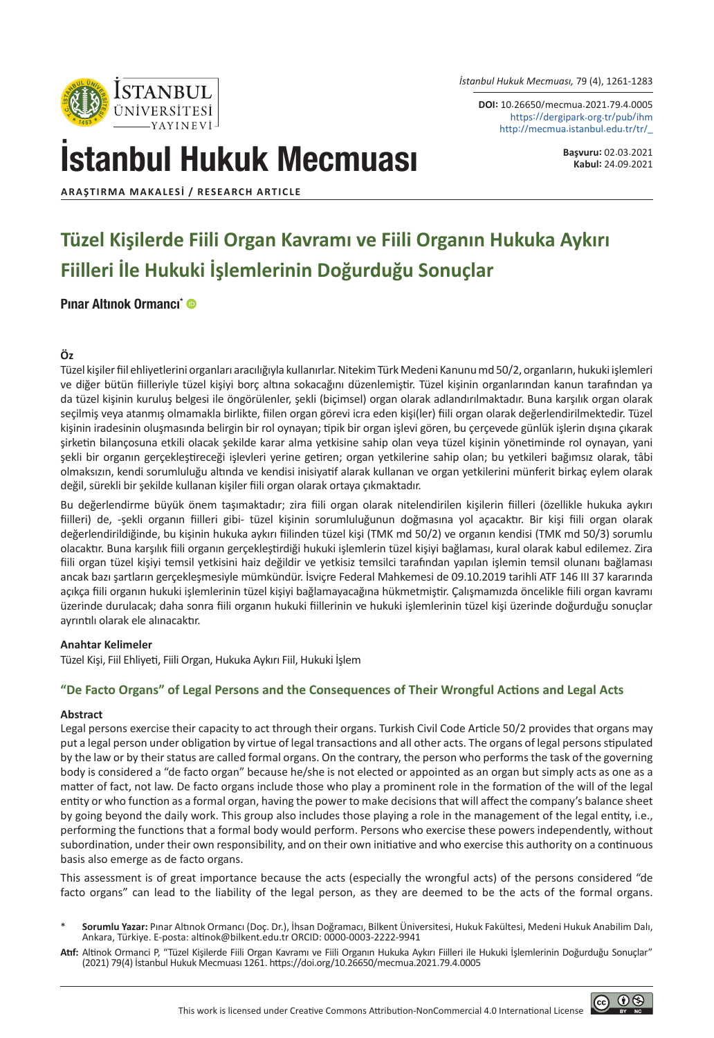*İstanbul Hukuk Mecmuası,* 79 (4), 1261-1283

**DOI:** 10.26650/mecmua.2021.79.4.0005 https://dergipark.org.tr/pub/ihm http://mecmua.istanbul.edu.tr/tr/\_

İstanbul Hukuk Mecmuası

**Başvuru:** 02.03.2021 **Kabul:** 24.09.2021

© 0⊛

**ARAŞTIRMA MAKALESI / RESEARCH ARTICLE**

**STANBUL** ÜNİVER SİTESİ

# **Tüzel Kişilerde Fiili Organ Kavramı ve Fiili Organın Hukuka Aykırı Fiilleri İle Hukuki İşlemlerinin Doğurduğu Sonuçlar**

### [Pınar Altınok Ormancı\\*](https://orcid.org/0000-0003-2222-9941)

### **Öz**

Tüzel kişiler fiil ehliyetlerini organları aracılığıyla kullanırlar. Nitekim Türk Medeni Kanunu md 50/2, organların, hukuki işlemleri ve diğer bütün fiilleriyle tüzel kişiyi borç altına sokacağını düzenlemiştir. Tüzel kişinin organlarından kanun tarafından ya da tüzel kişinin kuruluş belgesi ile öngörülenler, şekli (biçimsel) organ olarak adlandırılmaktadır. Buna karşılık organ olarak seçilmiş veya atanmış olmamakla birlikte, fiilen organ görevi icra eden kişi(ler) fiili organ olarak değerlendirilmektedir. Tüzel kişinin iradesinin oluşmasında belirgin bir rol oynayan; tipik bir organ işlevi gören, bu çerçevede günlük işlerin dışına çıkarak şirketin bilançosuna etkili olacak şekilde karar alma yetkisine sahip olan veya tüzel kişinin yönetiminde rol oynayan, yani şekli bir organın gerçekleştireceği işlevleri yerine getiren; organ yetkilerine sahip olan; bu yetkileri bağımsız olarak, tâbi olmaksızın, kendi sorumluluğu altında ve kendisi inisiyatif alarak kullanan ve organ yetkilerini münferit birkaç eylem olarak değil, sürekli bir şekilde kullanan kişiler fiili organ olarak ortaya çıkmaktadır.

Bu değerlendirme büyük önem taşımaktadır; zira fiili organ olarak nitelendirilen kişilerin fiilleri (özellikle hukuka aykırı fiilleri) de, -şekli organın fiilleri gibi- tüzel kişinin sorumluluğunun doğmasına yol açacaktır. Bir kişi fiili organ olarak değerlendirildiğinde, bu kişinin hukuka aykırı fiilinden tüzel kişi (TMK md 50/2) ve organın kendisi (TMK md 50/3) sorumlu olacaktır. Buna karşılık fiili organın gerçekleştirdiği hukuki işlemlerin tüzel kişiyi bağlaması, kural olarak kabul edilemez. Zira fiili organ tüzel kişiyi temsil yetkisini haiz değildir ve yetkisiz temsilci tarafından yapılan işlemin temsil olunanı bağlaması ancak bazı şartların gerçekleşmesiyle mümkündür. İsviçre Federal Mahkemesi de 09.10.2019 tarihli ATF 146 III 37 kararında açıkça fiili organın hukuki işlemlerinin tüzel kişiyi bağlamayacağına hükmetmiştir. Çalışmamızda öncelikle fiili organ kavramı üzerinde durulacak; daha sonra fiili organın hukuki fiillerinin ve hukuki işlemlerinin tüzel kişi üzerinde doğurduğu sonuçlar ayrıntılı olarak ele alınacaktır.

#### **Anahtar Kelimeler**

Tüzel Kişi, Fiil Ehliyeti, Fiili Organ, Hukuka Aykırı Fiil, Hukuki İşlem

#### **"De Facto Organs" of Legal Persons and the Consequences of Their Wrongful Actions and Legal Acts**

#### **Abstract**

Legal persons exercise their capacity to act through their organs. Turkish Civil Code Article 50/2 provides that organs may put a legal person under obligation by virtue of legal transactions and all other acts. The organs of legal persons stipulated by the law or by their status are called formal organs. On the contrary, the person who performs the task of the governing body is considered a "de facto organ" because he/she is not elected or appointed as an organ but simply acts as one as a matter of fact, not law. De facto organs include those who play a prominent role in the formation of the will of the legal entity or who function as a formal organ, having the power to make decisions that will affect the company's balance sheet by going beyond the daily work. This group also includes those playing a role in the management of the legal entity, i.e., performing the functions that a formal body would perform. Persons who exercise these powers independently, without subordination, under their own responsibility, and on their own initiative and who exercise this authority on a continuous basis also emerge as de facto organs.

This assessment is of great importance because the acts (especially the wrongful acts) of the persons considered "de facto organs" can lead to the liability of the legal person, as they are deemed to be the acts of the formal organs.

- \* **Sorumlu Yazar:** Pınar Altınok Ormancı (Doç. Dr.), İhsan Doğramacı, Bilkent Üniversitesi, Hukuk Fakültesi, Medeni Hukuk Anabilim Dalı, Ankara, Türkiye. E-posta: altinok@bilkent.edu.tr ORCID: 0000-0003-2222-9941
- **Atıf:** Altinok Ormanci P, "Tüzel Kişilerde Fiili Organ Kavramı ve Fiili Organın Hukuka Aykırı Fiilleri ile Hukuki İşlemlerinin Doğurduğu Sonuçlar" (2021) 79(4) İstanbul Hukuk Mecmuası 1261. https://doi.org/10.26650/mecmua.2021.79.4.0005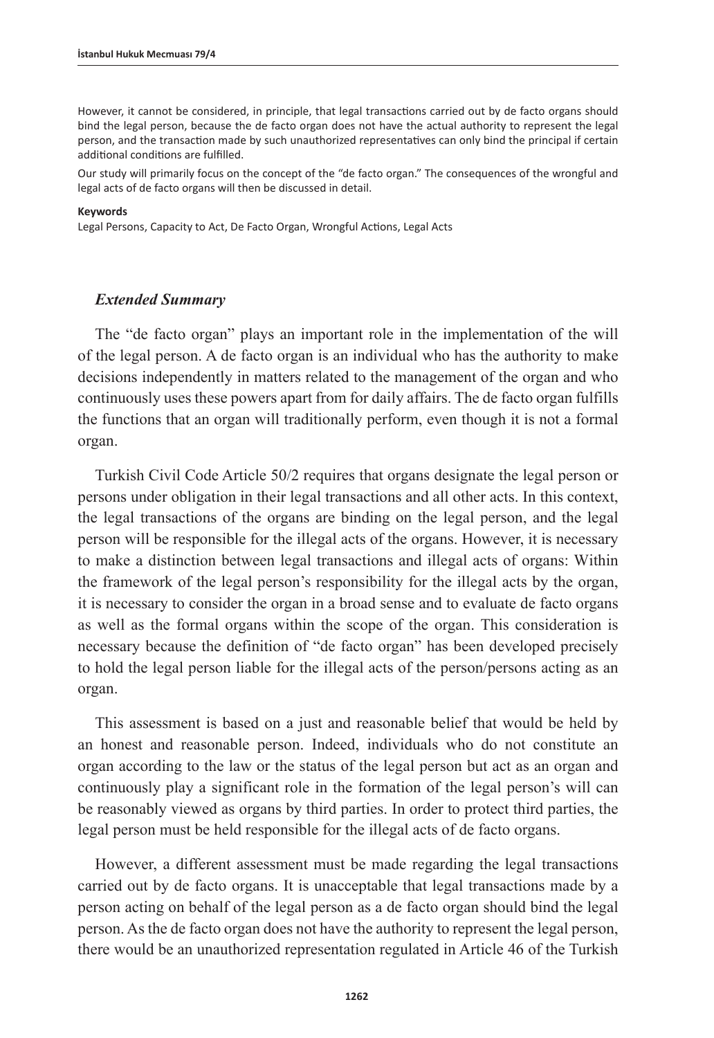However, it cannot be considered, in principle, that legal transactions carried out by de facto organs should bind the legal person, because the de facto organ does not have the actual authority to represent the legal person, and the transaction made by such unauthorized representatives can only bind the principal if certain additional conditions are fulfilled.

Our study will primarily focus on the concept of the "de facto organ." The consequences of the wrongful and legal acts of de facto organs will then be discussed in detail.

#### **Keywords**

Legal Persons, Capacity to Act, De Facto Organ, Wrongful Actions, Legal Acts

#### *Extended Summary*

The "de facto organ" plays an important role in the implementation of the will of the legal person. A de facto organ is an individual who has the authority to make decisions independently in matters related to the management of the organ and who continuously uses these powers apart from for daily affairs. The de facto organ fulfills the functions that an organ will traditionally perform, even though it is not a formal organ.

Turkish Civil Code Article 50/2 requires that organs designate the legal person or persons under obligation in their legal transactions and all other acts. In this context, the legal transactions of the organs are binding on the legal person, and the legal person will be responsible for the illegal acts of the organs. However, it is necessary to make a distinction between legal transactions and illegal acts of organs: Within the framework of the legal person's responsibility for the illegal acts by the organ, it is necessary to consider the organ in a broad sense and to evaluate de facto organs as well as the formal organs within the scope of the organ. This consideration is necessary because the definition of "de facto organ" has been developed precisely to hold the legal person liable for the illegal acts of the person/persons acting as an organ.

This assessment is based on a just and reasonable belief that would be held by an honest and reasonable person. Indeed, individuals who do not constitute an organ according to the law or the status of the legal person but act as an organ and continuously play a significant role in the formation of the legal person's will can be reasonably viewed as organs by third parties. In order to protect third parties, the legal person must be held responsible for the illegal acts of de facto organs.

However, a different assessment must be made regarding the legal transactions carried out by de facto organs. It is unacceptable that legal transactions made by a person acting on behalf of the legal person as a de facto organ should bind the legal person. As the de facto organ does not have the authority to represent the legal person, there would be an unauthorized representation regulated in Article 46 of the Turkish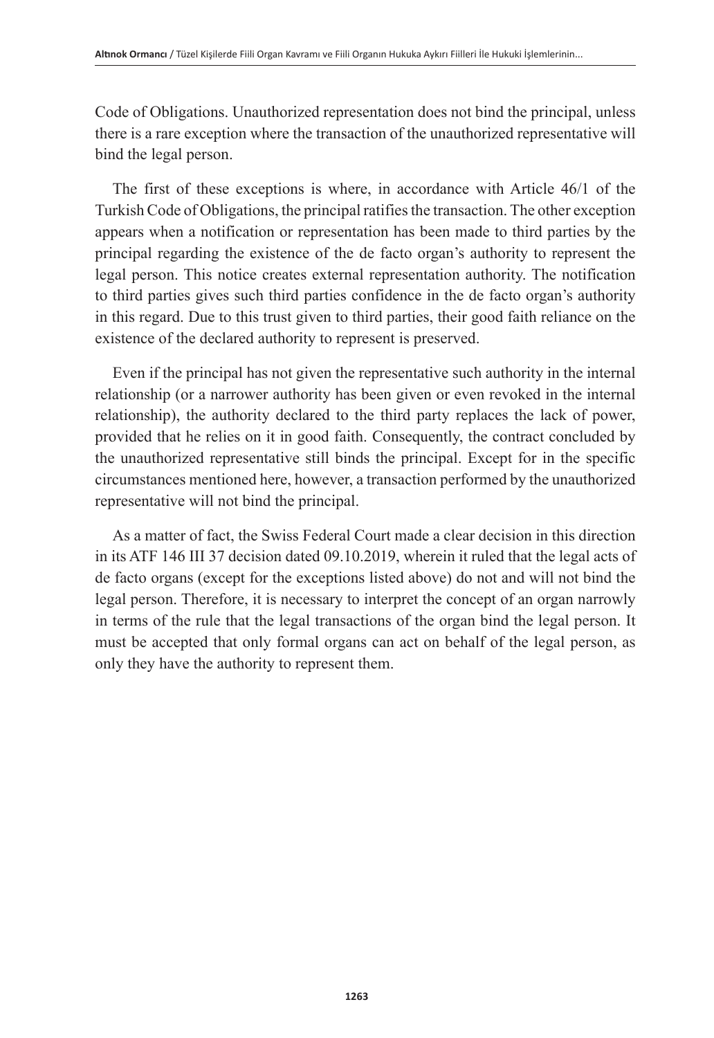Code of Obligations. Unauthorized representation does not bind the principal, unless there is a rare exception where the transaction of the unauthorized representative will bind the legal person.

The first of these exceptions is where, in accordance with Article 46/1 of the Turkish Code of Obligations, the principal ratifies the transaction. The other exception appears when a notification or representation has been made to third parties by the principal regarding the existence of the de facto organ's authority to represent the legal person. This notice creates external representation authority. The notification to third parties gives such third parties confidence in the de facto organ's authority in this regard. Due to this trust given to third parties, their good faith reliance on the existence of the declared authority to represent is preserved.

Even if the principal has not given the representative such authority in the internal relationship (or a narrower authority has been given or even revoked in the internal relationship), the authority declared to the third party replaces the lack of power, provided that he relies on it in good faith. Consequently, the contract concluded by the unauthorized representative still binds the principal. Except for in the specific circumstances mentioned here, however, a transaction performed by the unauthorized representative will not bind the principal.

As a matter of fact, the Swiss Federal Court made a clear decision in this direction in its ATF 146 III 37 decision dated 09.10.2019, wherein it ruled that the legal acts of de facto organs (except for the exceptions listed above) do not and will not bind the legal person. Therefore, it is necessary to interpret the concept of an organ narrowly in terms of the rule that the legal transactions of the organ bind the legal person. It must be accepted that only formal organs can act on behalf of the legal person, as only they have the authority to represent them.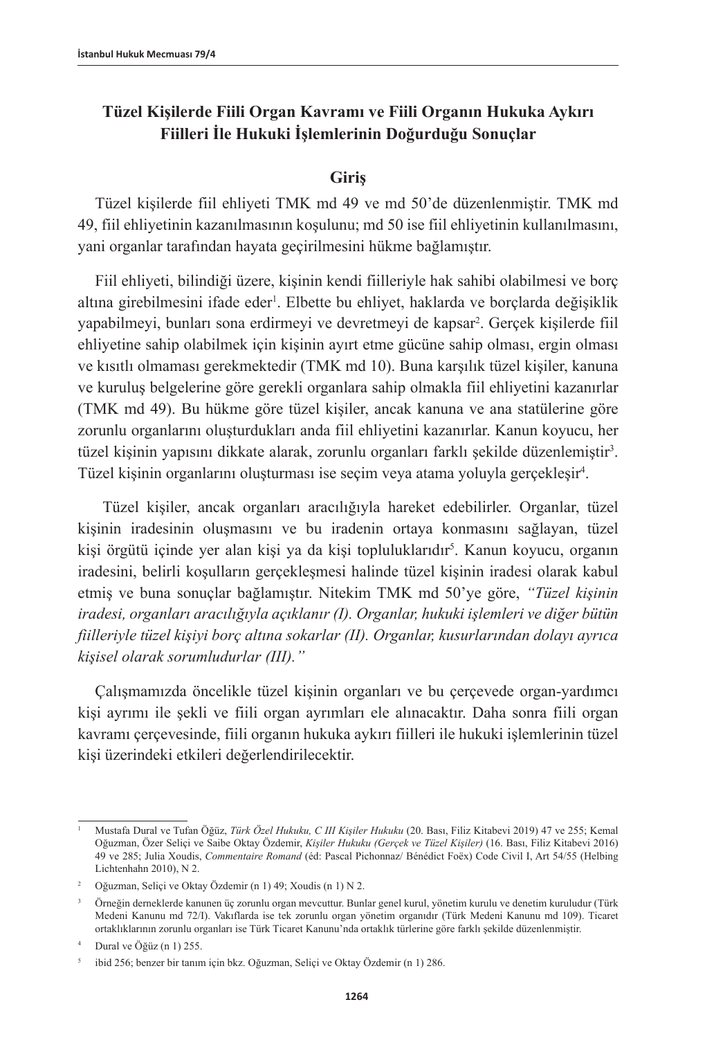# **Tüzel Kişilerde Fiili Organ Kavramı ve Fiili Organın Hukuka Aykırı Fiilleri İle Hukuki İşlemlerinin Doğurduğu Sonuçlar**

### **Giriş**

Tüzel kişilerde fiil ehliyeti TMK md 49 ve md 50'de düzenlenmiştir. TMK md 49, fiil ehliyetinin kazanılmasının koşulunu; md 50 ise fiil ehliyetinin kullanılmasını, yani organlar tarafından hayata geçirilmesini hükme bağlamıştır.

Fiil ehliyeti, bilindiği üzere, kişinin kendi fiilleriyle hak sahibi olabilmesi ve borç altına girebilmesini ifade eder<sup>ı</sup>. Elbette bu ehliyet, haklarda ve borçlarda değişiklik yapabilmeyi, bunları sona erdirmeyi ve devretmeyi de kapsar2 . Gerçek kişilerde fiil ehliyetine sahip olabilmek için kişinin ayırt etme gücüne sahip olması, ergin olması ve kısıtlı olmaması gerekmektedir (TMK md 10). Buna karşılık tüzel kişiler, kanuna ve kuruluş belgelerine göre gerekli organlara sahip olmakla fiil ehliyetini kazanırlar (TMK md 49). Bu hükme göre tüzel kişiler, ancak kanuna ve ana statülerine göre zorunlu organlarını oluşturdukları anda fiil ehliyetini kazanırlar. Kanun koyucu, her tüzel kişinin yapısını dikkate alarak, zorunlu organları farklı şekilde düzenlemiştir<sup>3</sup>. Tüzel kişinin organlarını oluşturması ise seçim veya atama yoluyla gerçekleşir4 .

 Tüzel kişiler, ancak organları aracılığıyla hareket edebilirler. Organlar, tüzel kişinin iradesinin oluşmasını ve bu iradenin ortaya konmasını sağlayan, tüzel kişi örgütü içinde yer alan kişi ya da kişi topluluklarıdır<sup>5</sup>. Kanun koyucu, organın iradesini, belirli koşulların gerçekleşmesi halinde tüzel kişinin iradesi olarak kabul etmiş ve buna sonuçlar bağlamıştır. Nitekim TMK md 50'ye göre, *"Tüzel kişinin iradesi, organları aracılığıyla açıklanır (I). Organlar, hukuki işlemleri ve diğer bütün fiilleriyle tüzel kişiyi borç altına sokarlar (II). Organlar, kusurlarından dolayı ayrıca kişisel olarak sorumludurlar (III)."*

Çalışmamızda öncelikle tüzel kişinin organları ve bu çerçevede organ-yardımcı kişi ayrımı ile şekli ve fiili organ ayrımları ele alınacaktır. Daha sonra fiili organ kavramı çerçevesinde, fiili organın hukuka aykırı fiilleri ile hukuki işlemlerinin tüzel kişi üzerindeki etkileri değerlendirilecektir.

<sup>1</sup> Mustafa Dural ve Tufan Öğüz, *Türk Özel Hukuku, C III Kişiler Hukuku* (20. Bası, Filiz Kitabevi 2019) 47 ve 255; Kemal Oğuzman, Özer Seliçi ve Saibe Oktay Özdemir, *Kişiler Hukuku (Gerçek ve Tüzel Kişiler)* (16. Bası, Filiz Kitabevi 2016) 49 ve 285; Julia Xoudis, *Commentaire Romand* (éd: Pascal Pichonnaz/ Bénédict Foëx) Code Civil I, Art 54/55 (Helbing Lichtenhahn 2010), N 2.

<sup>2</sup> Oğuzman, Seliçi ve Oktay Özdemir (n 1) 49; Xoudis (n 1) N 2.

<sup>3</sup> Örneğin derneklerde kanunen üç zorunlu organ mevcuttur. Bunlar genel kurul, yönetim kurulu ve denetim kuruludur (Türk Medeni Kanunu md 72/I). Vakıflarda ise tek zorunlu organ yönetim organıdır (Türk Medeni Kanunu md 109). Ticaret ortaklıklarının zorunlu organları ise Türk Ticaret Kanunu'nda ortaklık türlerine göre farklı şekilde düzenlenmiştir.

Dural ve Öğüz (n 1) 255.

<sup>5</sup> ibid 256; benzer bir tanım için bkz. Oğuzman, Seliçi ve Oktay Özdemir (n 1) 286.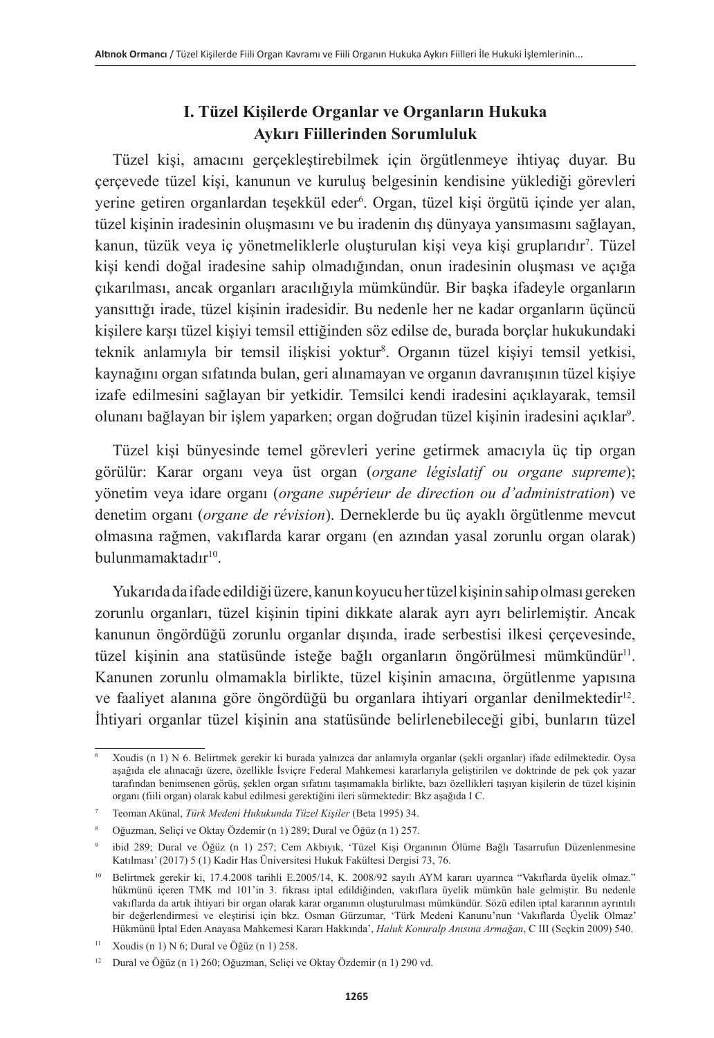# **I. Tüzel Kişilerde Organlar ve Organların Hukuka Aykırı Fiillerinden Sorumluluk**

Tüzel kişi, amacını gerçekleştirebilmek için örgütlenmeye ihtiyaç duyar. Bu çerçevede tüzel kişi, kanunun ve kuruluş belgesinin kendisine yüklediği görevleri yerine getiren organlardan teşekkül eder6 . Organ, tüzel kişi örgütü içinde yer alan, tüzel kişinin iradesinin oluşmasını ve bu iradenin dış dünyaya yansımasını sağlayan, kanun, tüzük veya iç yönetmeliklerle oluşturulan kişi veya kişi gruplarıdır<sup>7</sup>. Tüzel kişi kendi doğal iradesine sahip olmadığından, onun iradesinin oluşması ve açığa çıkarılması, ancak organları aracılığıyla mümkündür. Bir başka ifadeyle organların yansıttığı irade, tüzel kişinin iradesidir. Bu nedenle her ne kadar organların üçüncü kişilere karşı tüzel kişiyi temsil ettiğinden söz edilse de, burada borçlar hukukundaki teknik anlamıyla bir temsil ilişkisi yoktur<sup>s</sup>. Organın tüzel kişiyi temsil yetkisi, kaynağını organ sıfatında bulan, geri alınamayan ve organın davranışının tüzel kişiye izafe edilmesini sağlayan bir yetkidir. Temsilci kendi iradesini açıklayarak, temsil olunanı bağlayan bir işlem yaparken; organ doğrudan tüzel kişinin iradesini açıklar<sup>9</sup>.

Tüzel kişi bünyesinde temel görevleri yerine getirmek amacıyla üç tip organ görülür: Karar organı veya üst organ (*organe législatif ou organe supreme*); yönetim veya idare organı (*organe supérieur de direction ou d'administration*) ve denetim organı (*organe de révision*). Derneklerde bu üç ayaklı örgütlenme mevcut olmasına rağmen, vakıflarda karar organı (en azından yasal zorunlu organ olarak)  $b$ ulunmamaktadır $10$ 

Yukarıda da ifade edildiği üzere, kanun koyucu her tüzel kişinin sahip olması gereken zorunlu organları, tüzel kişinin tipini dikkate alarak ayrı ayrı belirlemiştir. Ancak kanunun öngördüğü zorunlu organlar dışında, irade serbestisi ilkesi çerçevesinde, tüzel kişinin ana statüsünde isteğe bağlı organların öngörülmesi mümkündür<sup>11</sup>. Kanunen zorunlu olmamakla birlikte, tüzel kişinin amacına, örgütlenme yapısına ve faaliyet alanına göre öngördüğü bu organlara ihtiyari organlar denilmektedir<sup>12</sup>. İhtiyari organlar tüzel kişinin ana statüsünde belirlenebileceği gibi, bunların tüzel

<sup>6</sup> Xoudis (n 1) N 6. Belirtmek gerekir ki burada yalnızca dar anlamıyla organlar (şekli organlar) ifade edilmektedir. Oysa aşağıda ele alınacağı üzere, özellikle İsviçre Federal Mahkemesi kararlarıyla geliştirilen ve doktrinde de pek çok yazar tarafından benimsenen görüş, şeklen organ sıfatını taşımamakla birlikte, bazı özellikleri taşıyan kişilerin de tüzel kişinin organı (fiili organ) olarak kabul edilmesi gerektiğini ileri sürmektedir: Bkz aşağıda I C.

<sup>7</sup> Teoman Akünal, *Türk Medeni Hukukunda Tüzel Kişiler* (Beta 1995) 34.

<sup>8</sup> Oğuzman, Seliçi ve Oktay Özdemir (n 1) 289; Dural ve Öğüz (n 1) 257.

<sup>9</sup> ibid 289; Dural ve Öğüz (n 1) 257; Cem Akbıyık, 'Tüzel Kişi Organının Ölüme Bağlı Tasarrufun Düzenlenmesine Katılması' (2017) 5 (1) Kadir Has Üniversitesi Hukuk Fakültesi Dergisi 73, 76.

<sup>10</sup> Belirtmek gerekir ki, 17.4.2008 tarihli E.2005/14, K. 2008/92 sayılı AYM kararı uyarınca "Vakıflarda üyelik olmaz." hükmünü içeren TMK md 101'in 3. fıkrası iptal edildiğinden, vakıflara üyelik mümkün hale gelmiştir. Bu nedenle vakıflarda da artık ihtiyari bir organ olarak karar organının oluşturulması mümkündür. Sözü edilen iptal kararının ayrıntılı bir değerlendirmesi ve eleştirisi için bkz. Osman Gürzumar, 'Türk Medeni Kanunu'nun 'Vakıflarda Üyelik Olmaz' Hükmünü İptal Eden Anayasa Mahkemesi Kararı Hakkında', *Haluk Konuralp Anısına Armağan*, C III (Seçkin 2009) 540.

<sup>11</sup> Xoudis (n 1) N 6; Dural ve Öğüz (n 1) 258.

<sup>12</sup> Dural ve Öğüz (n 1) 260; Oğuzman, Seliçi ve Oktay Özdemir (n 1) 290 vd.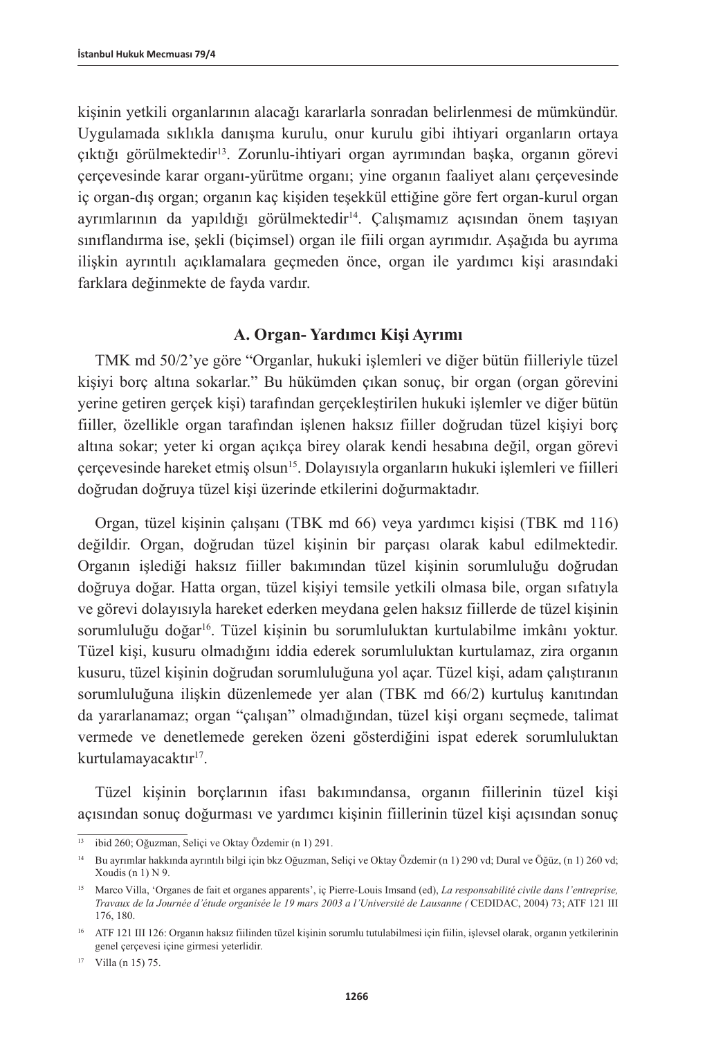kişinin yetkili organlarının alacağı kararlarla sonradan belirlenmesi de mümkündür. Uygulamada sıklıkla danışma kurulu, onur kurulu gibi ihtiyari organların ortaya çıktığı görülmektedir13. Zorunlu-ihtiyari organ ayrımından başka, organın görevi çerçevesinde karar organı-yürütme organı; yine organın faaliyet alanı çerçevesinde iç organ-dış organ; organın kaç kişiden teşekkül ettiğine göre fert organ-kurul organ ayrımlarının da yapıldığı görülmektedir14. Çalışmamız açısından önem taşıyan sınıflandırma ise, şekli (biçimsel) organ ile fiili organ ayrımıdır. Aşağıda bu ayrıma ilişkin ayrıntılı açıklamalara geçmeden önce, organ ile yardımcı kişi arasındaki farklara değinmekte de fayda vardır.

### **A. Organ- Yardımcı Kişi Ayrımı**

TMK md 50/2'ye göre "Organlar, hukuki işlemleri ve diğer bütün fiilleriyle tüzel kişiyi borç altına sokarlar." Bu hükümden çıkan sonuç, bir organ (organ görevini yerine getiren gerçek kişi) tarafından gerçekleştirilen hukuki işlemler ve diğer bütün fiiller, özellikle organ tarafından işlenen haksız fiiller doğrudan tüzel kişiyi borç altına sokar; yeter ki organ açıkça birey olarak kendi hesabına değil, organ görevi çerçevesinde hareket etmiş olsun15. Dolayısıyla organların hukuki işlemleri ve fiilleri doğrudan doğruya tüzel kişi üzerinde etkilerini doğurmaktadır.

Organ, tüzel kişinin çalışanı (TBK md 66) veya yardımcı kişisi (TBK md 116) değildir. Organ, doğrudan tüzel kişinin bir parçası olarak kabul edilmektedir. Organın işlediği haksız fiiller bakımından tüzel kişinin sorumluluğu doğrudan doğruya doğar. Hatta organ, tüzel kişiyi temsile yetkili olmasa bile, organ sıfatıyla ve görevi dolayısıyla hareket ederken meydana gelen haksız fiillerde de tüzel kişinin sorumluluğu doğar16. Tüzel kişinin bu sorumluluktan kurtulabilme imkânı yoktur. Tüzel kişi, kusuru olmadığını iddia ederek sorumluluktan kurtulamaz, zira organın kusuru, tüzel kişinin doğrudan sorumluluğuna yol açar. Tüzel kişi, adam çalıştıranın sorumluluğuna ilişkin düzenlemede yer alan (TBK md 66/2) kurtuluş kanıtından da yararlanamaz; organ "çalışan" olmadığından, tüzel kişi organı seçmede, talimat vermede ve denetlemede gereken özeni gösterdiğini ispat ederek sorumluluktan kurtulamayacaktır<sup>17</sup>.

Tüzel kişinin borçlarının ifası bakımındansa, organın fiillerinin tüzel kişi açısından sonuç doğurması ve yardımcı kişinin fiillerinin tüzel kişi açısından sonuç

<sup>17</sup> Villa (n 15) 75.

<sup>13</sup> ibid 260; Oğuzman, Seliçi ve Oktay Özdemir (n 1) 291.

<sup>14</sup> Bu ayrımlar hakkında ayrıntılı bilgi için bkz Oğuzman, Seliçi ve Oktay Özdemir (n 1) 290 vd; Dural ve Öğüz, (n 1) 260 vd; Xoudis (n 1)  $N$  9.

<sup>15</sup> Marco Villa, 'Organes de fait et organes apparents', iç Pierre-Louis Imsand (ed), *La responsabilité civile dans l'entreprise, Travaux de la Journée d'étude organisée le 19 mars 2003 a l'Université de Lausanne (* CEDIDAC, 2004) 73; ATF 121 III 176, 180.

<sup>16</sup> ATF 121 III 126: Organın haksız fiilinden tüzel kişinin sorumlu tutulabilmesi için fiilin, işlevsel olarak, organın yetkilerinin genel çerçevesi içine girmesi yeterlidir.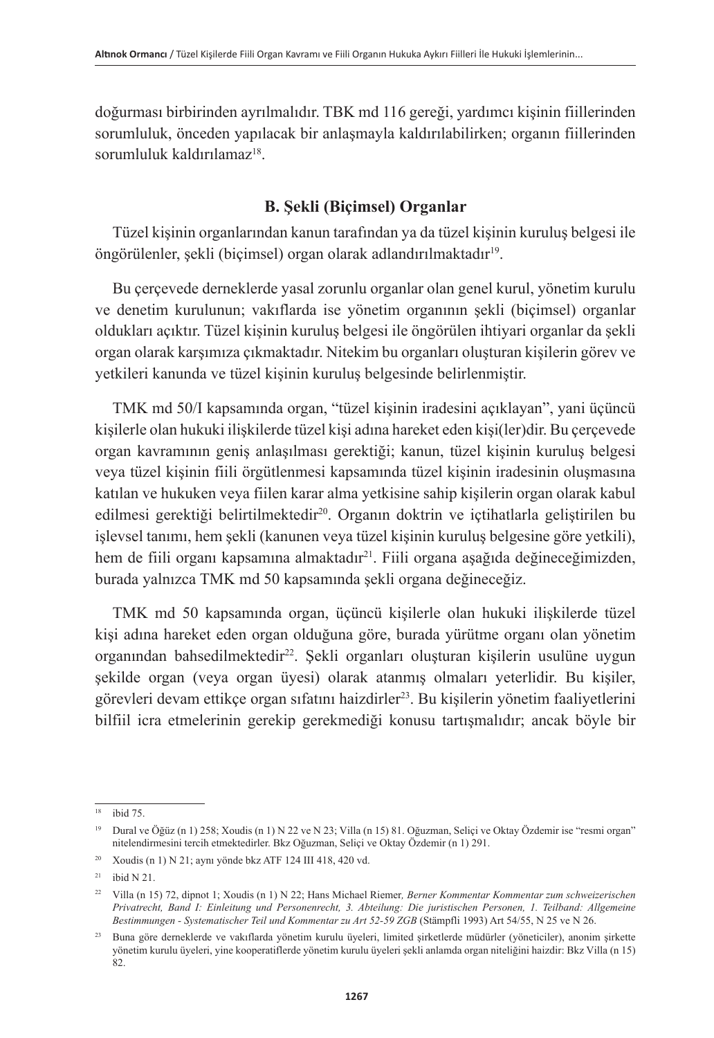doğurması birbirinden ayrılmalıdır. TBK md 116 gereği, yardımcı kişinin fiillerinden sorumluluk, önceden yapılacak bir anlaşmayla kaldırılabilirken; organın fiillerinden sorumluluk kaldırılamaz<sup>18</sup>.

### **B. Şekli (Biçimsel) Organlar**

Tüzel kişinin organlarından kanun tarafından ya da tüzel kişinin kuruluş belgesi ile öngörülenler, şekli (biçimsel) organ olarak adlandırılmaktadır<sup>ı9</sup>.

Bu çerçevede derneklerde yasal zorunlu organlar olan genel kurul, yönetim kurulu ve denetim kurulunun; vakıflarda ise yönetim organının şekli (biçimsel) organlar oldukları açıktır. Tüzel kişinin kuruluş belgesi ile öngörülen ihtiyari organlar da şekli organ olarak karşımıza çıkmaktadır. Nitekim bu organları oluşturan kişilerin görev ve yetkileri kanunda ve tüzel kişinin kuruluş belgesinde belirlenmiştir.

TMK md 50/I kapsamında organ, "tüzel kişinin iradesini açıklayan", yani üçüncü kişilerle olan hukuki ilişkilerde tüzel kişi adına hareket eden kişi(ler)dir. Bu çerçevede organ kavramının geniş anlaşılması gerektiği; kanun, tüzel kişinin kuruluş belgesi veya tüzel kişinin fiili örgütlenmesi kapsamında tüzel kişinin iradesinin oluşmasına katılan ve hukuken veya fiilen karar alma yetkisine sahip kişilerin organ olarak kabul edilmesi gerektiği belirtilmektedir<sup>20</sup>. Organın doktrin ve içtihatlarla geliştirilen bu işlevsel tanımı, hem şekli (kanunen veya tüzel kişinin kuruluş belgesine göre yetkili), hem de fiili organı kapsamına almaktadır<sup>21</sup>. Fiili organa aşağıda değineceğimizden, burada yalnızca TMK md 50 kapsamında şekli organa değineceğiz.

TMK md 50 kapsamında organ, üçüncü kişilerle olan hukuki ilişkilerde tüzel kişi adına hareket eden organ olduğuna göre, burada yürütme organı olan yönetim organından bahsedilmektedir<sup>22</sup>. Şekli organları oluşturan kişilerin usulüne uygun şekilde organ (veya organ üyesi) olarak atanmış olmaları yeterlidir. Bu kişiler, görevleri devam ettikçe organ sıfatını haizdirler<sup>23</sup>. Bu kişilerin yönetim faaliyetlerini bilfiil icra etmelerinin gerekip gerekmediği konusu tartışmalıdır; ancak böyle bir

<sup>18</sup> ibid 75.

<sup>19</sup> Dural ve Öğüz (n 1) 258; Xoudis (n 1) N 22 ve N 23; Villa (n 15) 81. Oğuzman, Seliçi ve Oktay Özdemir ise "resmi organ" nitelendirmesini tercih etmektedirler. Bkz Oğuzman, Seliçi ve Oktay Özdemir (n 1) 291.

<sup>20</sup> Xoudis (n 1) N 21; aynı yönde bkz ATF 124 III 418, 420 vd.

 $21$  ibid N 21.

<sup>22</sup> Villa (n 15) 72, dipnot 1; Xoudis (n 1) N 22; Hans Michael Riemer*, Berner Kommentar Kommentar zum schweizerischen Privatrecht, Band I: Einleitung und Personenrecht, 3. Abteilung: Die juristischen Personen, 1. Teilband: Allgemeine Bestimmungen - Systematischer Teil und Kommentar zu Art 52-59 ZGB* (Stämpfli 1993) Art 54/55, N 25 ve N 26.

<sup>23</sup> Buna göre derneklerde ve vakıflarda yönetim kurulu üyeleri, limited şirketlerde müdürler (yöneticiler), anonim şirkette yönetim kurulu üyeleri, yine kooperatiflerde yönetim kurulu üyeleri şekli anlamda organ niteliğini haizdir: Bkz Villa (n 15) 82.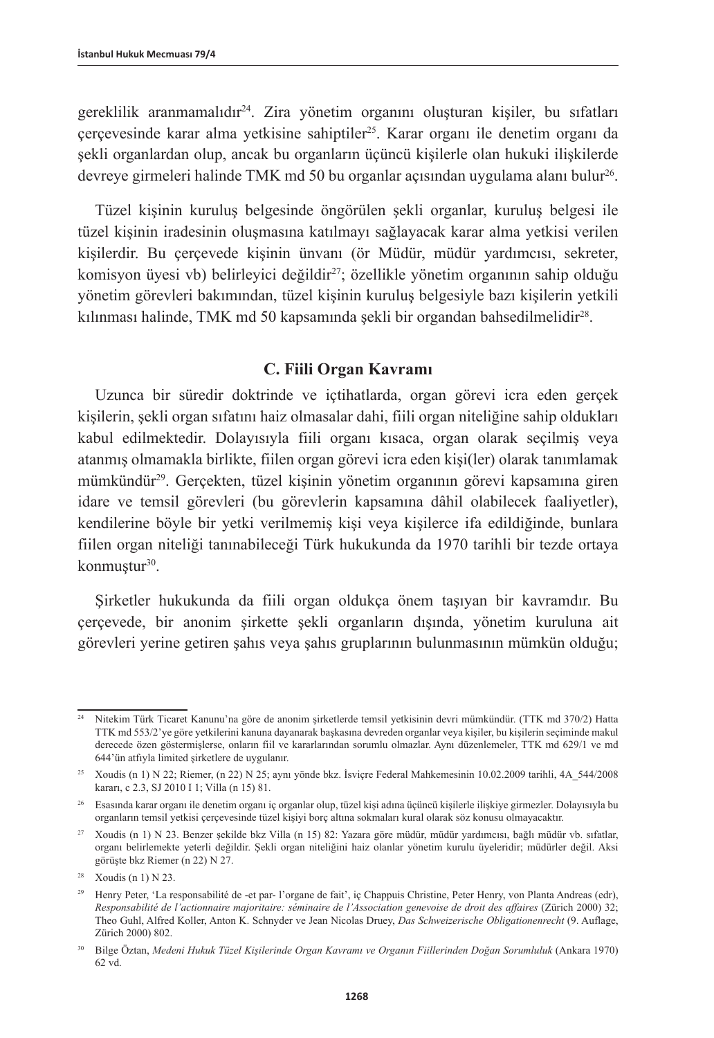gereklilik aranmamalıdır24. Zira yönetim organını oluşturan kişiler, bu sıfatları çerçevesinde karar alma yetkisine sahiptiler25. Karar organı ile denetim organı da şekli organlardan olup, ancak bu organların üçüncü kişilerle olan hukuki ilişkilerde devreye girmeleri halinde TMK md 50 bu organlar açısından uygulama alanı bulur<sup>26</sup>.

Tüzel kişinin kuruluş belgesinde öngörülen şekli organlar, kuruluş belgesi ile tüzel kişinin iradesinin oluşmasına katılmayı sağlayacak karar alma yetkisi verilen kişilerdir. Bu çerçevede kişinin ünvanı (ör Müdür, müdür yardımcısı, sekreter, komisyon üyesi vb) belirleyici değildir27; özellikle yönetim organının sahip olduğu yönetim görevleri bakımından, tüzel kişinin kuruluş belgesiyle bazı kişilerin yetkili kılınması halinde, TMK md 50 kapsamında şekli bir organdan bahsedilmelidir<sup>28</sup>.

### **C. Fiili Organ Kavramı**

Uzunca bir süredir doktrinde ve içtihatlarda, organ görevi icra eden gerçek kişilerin, şekli organ sıfatını haiz olmasalar dahi, fiili organ niteliğine sahip oldukları kabul edilmektedir. Dolayısıyla fiili organı kısaca, organ olarak seçilmiş veya atanmış olmamakla birlikte, fiilen organ görevi icra eden kişi(ler) olarak tanımlamak mümkündür<sup>29</sup>. Gerçekten, tüzel kişinin yönetim organının görevi kapsamına giren idare ve temsil görevleri (bu görevlerin kapsamına dâhil olabilecek faaliyetler), kendilerine böyle bir yetki verilmemiş kişi veya kişilerce ifa edildiğinde, bunlara fiilen organ niteliği tanınabileceği Türk hukukunda da 1970 tarihli bir tezde ortaya konmuştur<sup>30</sup>.

Şirketler hukukunda da fiili organ oldukça önem taşıyan bir kavramdır. Bu çerçevede, bir anonim şirkette şekli organların dışında, yönetim kuruluna ait görevleri yerine getiren şahıs veya şahıs gruplarının bulunmasının mümkün olduğu;

<sup>24</sup> Nitekim Türk Ticaret Kanunu'na göre de anonim şirketlerde temsil yetkisinin devri mümkündür. (TTK md 370/2) Hatta TTK md 553/2'ye göre yetkilerini kanuna dayanarak başkasına devreden organlar veya kişiler, bu kişilerin seçiminde makul derecede özen göstermişlerse, onların fiil ve kararlarından sorumlu olmazlar. Aynı düzenlemeler, TTK md 629/1 ve md 644'ün atfıyla limited şirketlere de uygulanır.

<sup>&</sup>lt;sup>25</sup> Xoudis (n 1) N 22; Riemer, (n 22) N 25; aynı yönde bkz. İsviçre Federal Mahkemesinin 10.02.2009 tarihli, 4A $544/2008$ kararı, c 2.3, SJ 2010 I 1; Villa (n 15) 81.

<sup>26</sup> Esasında karar organı ile denetim organı iç organlar olup, tüzel kişi adına üçüncü kişilerle ilişkiye girmezler. Dolayısıyla bu organların temsil yetkisi çerçevesinde tüzel kişiyi borç altına sokmaları kural olarak söz konusu olmayacaktır.

<sup>27</sup> Xoudis (n 1) N 23. Benzer şekilde bkz Villa (n 15) 82: Yazara göre müdür, müdür yardımcısı, bağlı müdür vb. sıfatlar, organı belirlemekte yeterli değildir. Şekli organ niteliğini haiz olanlar yönetim kurulu üyeleridir; müdürler değil. Aksi görüşte bkz Riemer (n 22) N 27.

<sup>28</sup> Xoudis (n 1) N 23.

<sup>&</sup>lt;sup>29</sup> Henry Peter, 'La responsabilité de -et par- l'organe de fait', iç Chappuis Christine, Peter Henry, von Planta Andreas (edr), *Responsabilité de l'actionnaire majoritaire: séminaire de l'Association genevoise de droit des affaires* (Zürich 2000) 32; Theo Guhl, Alfred Koller, Anton K. Schnyder ve Jean Nicolas Druey, *Das Schweizerische Obligationenrecht* (9. Auflage, Zürich 2000) 802.

<sup>30</sup> Bilge Öztan, *Medeni Hukuk Tüzel Kişilerinde Organ Kavramı ve Organın Fiillerinden Doğan Sorumluluk* (Ankara 1970) 62 vd.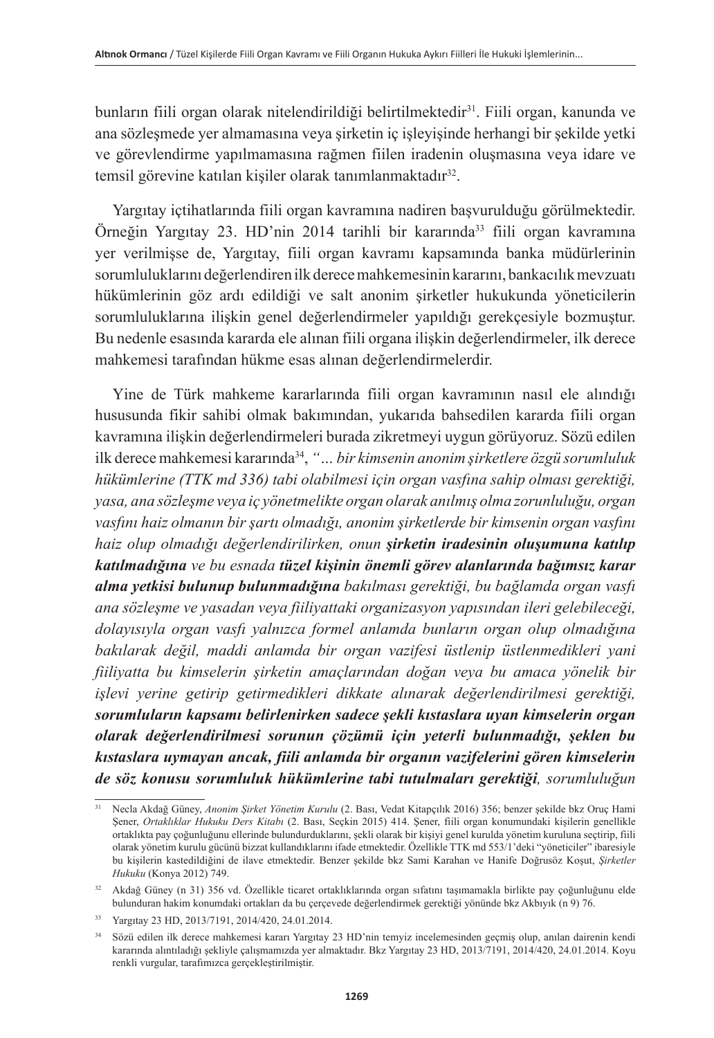bunların fiili organ olarak nitelendirildiği belirtilmektedir<sup>31</sup>. Fiili organ, kanunda ve ana sözleşmede yer almamasına veya şirketin iç işleyişinde herhangi bir şekilde yetki ve görevlendirme yapılmamasına rağmen fiilen iradenin oluşmasına veya idare ve temsil görevine katılan kişiler olarak tanımlanmaktadır<sup>32</sup>.

Yargıtay içtihatlarında fiili organ kavramına nadiren başvurulduğu görülmektedir. Örneğin Yargıtay 23. HD'nin 2014 tarihli bir kararında33 fiili organ kavramına yer verilmişse de, Yargıtay, fiili organ kavramı kapsamında banka müdürlerinin sorumluluklarını değerlendiren ilk derece mahkemesinin kararını, bankacılık mevzuatı hükümlerinin göz ardı edildiği ve salt anonim şirketler hukukunda yöneticilerin sorumluluklarına ilişkin genel değerlendirmeler yapıldığı gerekçesiyle bozmuştur. Bu nedenle esasında kararda ele alınan fiili organa ilişkin değerlendirmeler, ilk derece mahkemesi tarafından hükme esas alınan değerlendirmelerdir.

Yine de Türk mahkeme kararlarında fiili organ kavramının nasıl ele alındığı hususunda fikir sahibi olmak bakımından, yukarıda bahsedilen kararda fiili organ kavramına ilişkin değerlendirmeleri burada zikretmeyi uygun görüyoruz. Sözü edilen ilk derece mahkemesi kararında34, *"… bir kimsenin anonim şirketlere özgü sorumluluk hükümlerine (TTK md 336) tabi olabilmesi için organ vasfına sahip olması gerektiği, yasa, ana sözleşme veya iç yönetmelikte organ olarak anılmış olma zorunluluğu, organ vasfını haiz olmanın bir şartı olmadığı, anonim şirketlerde bir kimsenin organ vasfını haiz olup olmadığı değerlendirilirken, onun şirketin iradesinin oluşumuna katılıp katılmadığına ve bu esnada tüzel kişinin önemli görev alanlarında bağımsız karar alma yetkisi bulunup bulunmadığına bakılması gerektiği, bu bağlamda organ vasfı ana sözleşme ve yasadan veya fiiliyattaki organizasyon yapısından ileri gelebileceği, dolayısıyla organ vasfı yalnızca formel anlamda bunların organ olup olmadığına bakılarak değil, maddi anlamda bir organ vazifesi üstlenip üstlenmedikleri yani fiiliyatta bu kimselerin şirketin amaçlarından doğan veya bu amaca yönelik bir işlevi yerine getirip getirmedikleri dikkate alınarak değerlendirilmesi gerektiği, sorumluların kapsamı belirlenirken sadece şekli kıstaslara uyan kimselerin organ olarak değerlendirilmesi sorunun çözümü için yeterli bulunmadığı, şeklen bu kıstaslara uymayan ancak, fiili anlamda bir organın vazifelerini gören kimselerin de söz konusu sorumluluk hükümlerine tabi tutulmaları gerektiği, sorumluluğun* 

<sup>31</sup> Necla Akdağ Güney, *Anonim Şirket Yönetim Kurulu* (2. Bası, Vedat Kitapçılık 2016) 356; benzer şekilde bkz Oruç Hami Şener, *Ortaklıklar Hukuku Ders Kitabı* (2. Bası, Seçkin 2015) 414. Şener, fiili organ konumundaki kişilerin genellikle ortaklıkta pay çoğunluğunu ellerinde bulundurduklarını, şekli olarak bir kişiyi genel kurulda yönetim kuruluna seçtirip, fiili olarak yönetim kurulu gücünü bizzat kullandıklarını ifade etmektedir. Özellikle TTK md 553/1'deki "yöneticiler" ibaresiyle bu kişilerin kastedildiğini de ilave etmektedir. Benzer şekilde bkz Sami Karahan ve Hanife Doğrusöz Koşut, *Şirketler Hukuku* (Konya 2012) 749.

<sup>32</sup> Akdağ Güney (n 31) 356 vd. Özellikle ticaret ortaklıklarında organ sıfatını taşımamakla birlikte pay çoğunluğunu elde bulunduran hakim konumdaki ortakları da bu çerçevede değerlendirmek gerektiği yönünde bkz Akbıyık (n 9) 76.

<sup>33</sup> Yargıtay 23 HD, 2013/7191, 2014/420, 24.01.2014.

<sup>34</sup> Sözü edilen ilk derece mahkemesi kararı Yargıtay 23 HD'nin temyiz incelemesinden geçmiş olup, anılan dairenin kendi kararında alıntıladığı şekliyle çalışmamızda yer almaktadır. Bkz Yargıtay 23 HD, 2013/7191, 2014/420, 24.01.2014. Koyu renkli vurgular, tarafımızca gerçekleştirilmiştir.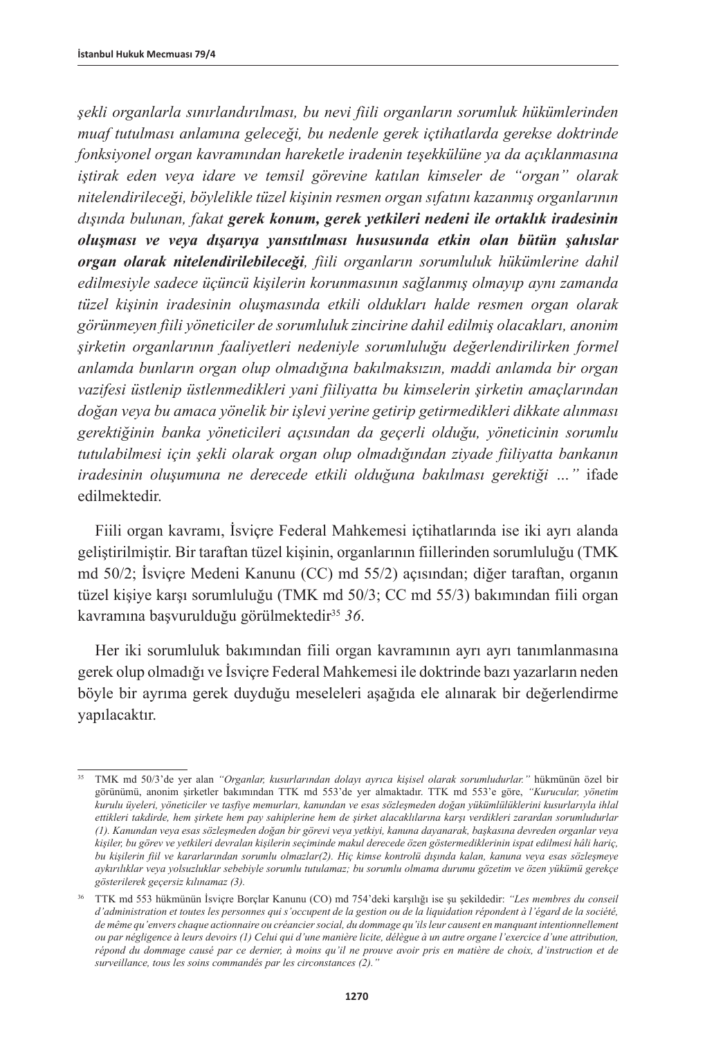*şekli organlarla sınırlandırılması, bu nevi fiili organların sorumluk hükümlerinden muaf tutulması anlamına geleceği, bu nedenle gerek içtihatlarda gerekse doktrinde fonksiyonel organ kavramından hareketle iradenin teşekkülüne ya da açıklanmasına iştirak eden veya idare ve temsil görevine katılan kimseler de "organ" olarak nitelendirileceği, böylelikle tüzel kişinin resmen organ sıfatını kazanmış organlarının dışında bulunan, fakat gerek konum, gerek yetkileri nedeni ile ortaklık iradesinin oluşması ve veya dışarıya yansıtılması hususunda etkin olan bütün şahıslar organ olarak nitelendirilebileceği, fiili organların sorumluluk hükümlerine dahil edilmesiyle sadece üçüncü kişilerin korunmasının sağlanmış olmayıp aynı zamanda tüzel kişinin iradesinin oluşmasında etkili oldukları halde resmen organ olarak görünmeyen fiili yöneticiler de sorumluluk zincirine dahil edilmiş olacakları, anonim şirketin organlarının faaliyetleri nedeniyle sorumluluğu değerlendirilirken formel anlamda bunların organ olup olmadığına bakılmaksızın, maddi anlamda bir organ vazifesi üstlenip üstlenmedikleri yani fiiliyatta bu kimselerin şirketin amaçlarından doğan veya bu amaca yönelik bir işlevi yerine getirip getirmedikleri dikkate alınması gerektiğinin banka yöneticileri açısından da geçerli olduğu, yöneticinin sorumlu tutulabilmesi için şekli olarak organ olup olmadığından ziyade fiiliyatta bankanın iradesinin oluşumuna ne derecede etkili olduğuna bakılması gerektiği …"* ifade edilmektedir.

Fiili organ kavramı, İsviçre Federal Mahkemesi içtihatlarında ise iki ayrı alanda geliştirilmiştir. Bir taraftan tüzel kişinin, organlarının fiillerinden sorumluluğu (TMK md 50/2; İsviçre Medeni Kanunu (CC) md 55/2) açısından; diğer taraftan, organın tüzel kişiye karşı sorumluluğu (TMK md 50/3; CC md 55/3) bakımından fiili organ kavramına başvurulduğu görülmektedir35 *36*.

Her iki sorumluluk bakımından fiili organ kavramının ayrı ayrı tanımlanmasına gerek olup olmadığı ve İsviçre Federal Mahkemesi ile doktrinde bazı yazarların neden böyle bir ayrıma gerek duyduğu meseleleri aşağıda ele alınarak bir değerlendirme yapılacaktır.

<sup>35</sup> TMK md 50/3'de yer alan *"Organlar, kusurlarından dolayı ayrıca kişisel olarak sorumludurlar."* hükmünün özel bir görünümü, anonim şirketler bakımından TTK md 553'de yer almaktadır. TTK md 553'e göre, *"Kurucular, yönetim kurulu üyeleri, yöneticiler ve tasfiye memurları, kanundan ve esas sözleşmeden doğan yükümlülüklerini kusurlarıyla ihlal ettikleri takdirde, hem şirkete hem pay sahiplerine hem de şirket alacaklılarına karşı verdikleri zarardan sorumludurlar (1). Kanundan veya esas sözleşmeden doğan bir görevi veya yetkiyi, kanuna dayanarak, başkasına devreden organlar veya kişiler, bu görev ve yetkileri devralan kişilerin seçiminde makul derecede özen göstermediklerinin ispat edilmesi hâli hariç, bu kişilerin fiil ve kararlarından sorumlu olmazlar(2). Hiç kimse kontrolü dışında kalan, kanuna veya esas sözleşmeye aykırılıklar veya yolsuzluklar sebebiyle sorumlu tutulamaz; bu sorumlu olmama durumu gözetim ve özen yükümü gerekçe gösterilerek geçersiz kılınamaz (3).*

<sup>36</sup> TTK md 553 hükmünün İsviçre Borçlar Kanunu (CO) md 754'deki karşılığı ise şu şekildedir: *"Les membres du conseil d'administration et toutes les personnes qui s'occupent de la gestion ou de la liquidation répondent à l'égard de la société, de même qu'envers chaque actionnaire ou créancier social, du dommage qu'ils leur causent en manquant intentionnellement ou par négligence à leurs devoirs (1) Celui qui d'une manière licite, délègue à un autre organe l'exercice d'une attribution, répond du dommage causé par ce dernier, à moins qu'il ne prouve avoir pris en matière de choix, d'instruction et de surveillance, tous les soins commandés par les circonstances (2)."*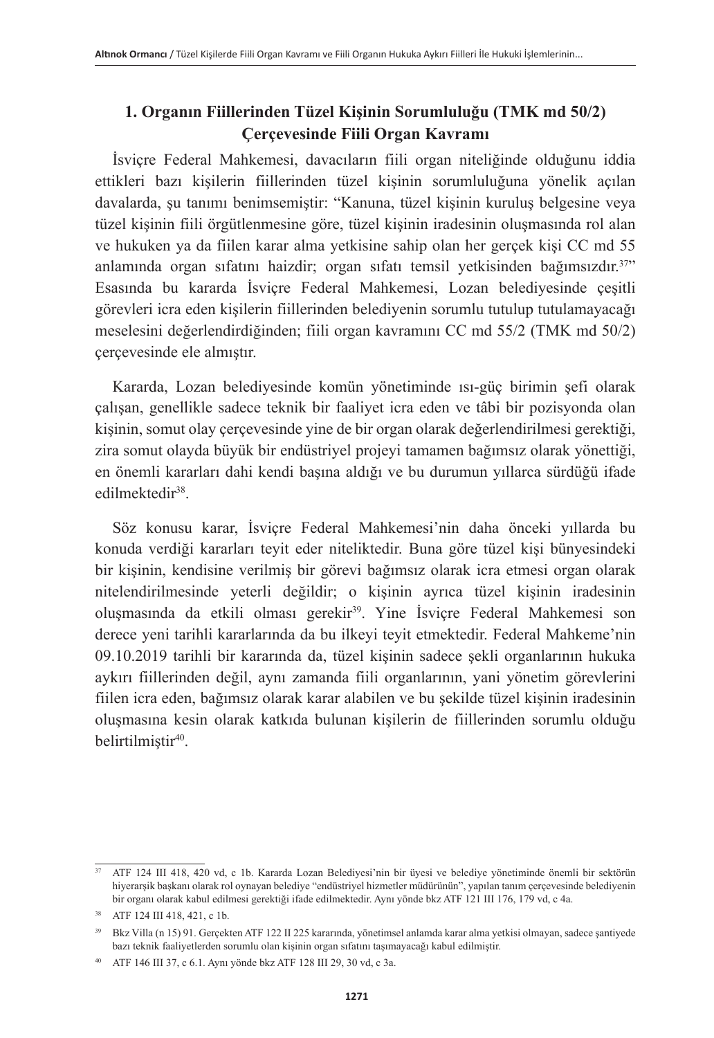# **1. Organın Fiillerinden Tüzel Kişinin Sorumluluğu (TMK md 50/2) Çerçevesinde Fiili Organ Kavramı**

İsviçre Federal Mahkemesi, davacıların fiili organ niteliğinde olduğunu iddia ettikleri bazı kişilerin fiillerinden tüzel kişinin sorumluluğuna yönelik açılan davalarda, şu tanımı benimsemiştir: "Kanuna, tüzel kişinin kuruluş belgesine veya tüzel kişinin fiili örgütlenmesine göre, tüzel kişinin iradesinin oluşmasında rol alan ve hukuken ya da fiilen karar alma yetkisine sahip olan her gerçek kişi CC md 55 anlamında organ sıfatını haizdir; organ sıfatı temsil yetkisinden bağımsızdır.37" Esasında bu kararda İsviçre Federal Mahkemesi, Lozan belediyesinde çeşitli görevleri icra eden kişilerin fiillerinden belediyenin sorumlu tutulup tutulamayacağı meselesini değerlendirdiğinden; fiili organ kavramını CC md 55/2 (TMK md 50/2) çerçevesinde ele almıştır.

Kararda, Lozan belediyesinde komün yönetiminde ısı-güç birimin şefi olarak çalışan, genellikle sadece teknik bir faaliyet icra eden ve tâbi bir pozisyonda olan kişinin, somut olay çerçevesinde yine de bir organ olarak değerlendirilmesi gerektiği, zira somut olayda büyük bir endüstriyel projeyi tamamen bağımsız olarak yönettiği, en önemli kararları dahi kendi başına aldığı ve bu durumun yıllarca sürdüğü ifade edilmektedir38.

Söz konusu karar, İsviçre Federal Mahkemesi'nin daha önceki yıllarda bu konuda verdiği kararları teyit eder niteliktedir. Buna göre tüzel kişi bünyesindeki bir kişinin, kendisine verilmiş bir görevi bağımsız olarak icra etmesi organ olarak nitelendirilmesinde yeterli değildir; o kişinin ayrıca tüzel kişinin iradesinin oluşmasında da etkili olması gerekir<sup>39</sup>. Yine İsviçre Federal Mahkemesi son derece yeni tarihli kararlarında da bu ilkeyi teyit etmektedir. Federal Mahkeme'nin 09.10.2019 tarihli bir kararında da, tüzel kişinin sadece şekli organlarının hukuka aykırı fiillerinden değil, aynı zamanda fiili organlarının, yani yönetim görevlerini fiilen icra eden, bağımsız olarak karar alabilen ve bu şekilde tüzel kişinin iradesinin oluşmasına kesin olarak katkıda bulunan kişilerin de fiillerinden sorumlu olduğu belirtilmiştir40.

<sup>37</sup> ATF 124 III 418, 420 vd, c 1b. Kararda Lozan Belediyesi'nin bir üyesi ve belediye yönetiminde önemli bir sektörün hiyerarşik başkanı olarak rol oynayan belediye "endüstriyel hizmetler müdürünün", yapılan tanım çerçevesinde belediyenin bir organı olarak kabul edilmesi gerektiği ifade edilmektedir. Aynı yönde bkz ATF 121 III 176, 179 vd, c 4a.

<sup>38</sup> ATF 124 III 418, 421, c 1b.

<sup>39</sup> Bkz Villa (n 15) 91. Gerçekten ATF 122 II 225 kararında, yönetimsel anlamda karar alma yetkisi olmayan, sadece şantiyede bazı teknik faaliyetlerden sorumlu olan kişinin organ sıfatını taşımayacağı kabul edilmiştir.

<sup>40</sup> ATF 146 III 37, c 6.1. Aynı yönde bkz ATF 128 III 29, 30 vd, c 3a.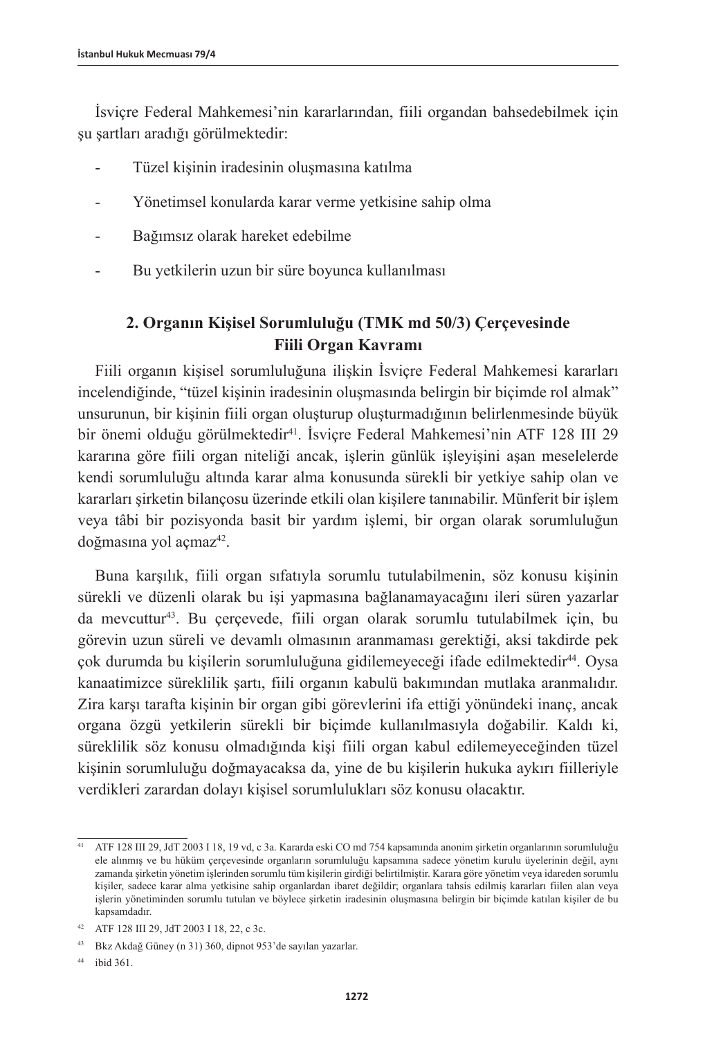İsviçre Federal Mahkemesi'nin kararlarından, fiili organdan bahsedebilmek için şu şartları aradığı görülmektedir:

- Tüzel kişinin iradesinin oluşmasına katılma
- Yönetimsel konularda karar verme yetkisine sahip olma
- Bağımsız olarak hareket edebilme
- Bu yetkilerin uzun bir süre boyunca kullanılması

# **2. Organın Kişisel Sorumluluğu (TMK md 50/3) Çerçevesinde Fiili Organ Kavramı**

Fiili organın kişisel sorumluluğuna ilişkin İsviçre Federal Mahkemesi kararları incelendiğinde, "tüzel kişinin iradesinin oluşmasında belirgin bir biçimde rol almak" unsurunun, bir kişinin fiili organ oluşturup oluşturmadığının belirlenmesinde büyük bir önemi olduğu görülmektedir41. İsviçre Federal Mahkemesi'nin ATF 128 III 29 kararına göre fiili organ niteliği ancak, işlerin günlük işleyişini aşan meselelerde kendi sorumluluğu altında karar alma konusunda sürekli bir yetkiye sahip olan ve kararları şirketin bilançosu üzerinde etkili olan kişilere tanınabilir. Münferit bir işlem veya tâbi bir pozisyonda basit bir yardım işlemi, bir organ olarak sorumluluğun doğmasına yol açmaz<sup>42</sup>.

Buna karşılık, fiili organ sıfatıyla sorumlu tutulabilmenin, söz konusu kişinin sürekli ve düzenli olarak bu işi yapmasına bağlanamayacağını ileri süren yazarlar da mevcuttur43. Bu çerçevede, fiili organ olarak sorumlu tutulabilmek için, bu görevin uzun süreli ve devamlı olmasının aranmaması gerektiği, aksi takdirde pek çok durumda bu kişilerin sorumluluğuna gidilemeyeceği ifade edilmektedir44. Oysa kanaatimizce süreklilik şartı, fiili organın kabulü bakımından mutlaka aranmalıdır. Zira karşı tarafta kişinin bir organ gibi görevlerini ifa ettiği yönündeki inanç, ancak organa özgü yetkilerin sürekli bir biçimde kullanılmasıyla doğabilir. Kaldı ki, süreklilik söz konusu olmadığında kişi fiili organ kabul edilemeyeceğinden tüzel kişinin sorumluluğu doğmayacaksa da, yine de bu kişilerin hukuka aykırı fiilleriyle verdikleri zarardan dolayı kişisel sorumlulukları söz konusu olacaktır.

<sup>41</sup> ATF 128 III 29, JdT 2003 I 18, 19 vd, c 3a. Kararda eski CO md 754 kapsamında anonim şirketin organlarının sorumluluğu ele alınmış ve bu hüküm çerçevesinde organların sorumluluğu kapsamına sadece yönetim kurulu üyelerinin değil, aynı zamanda şirketin yönetim işlerinden sorumlu tüm kişilerin girdiği belirtilmiştir. Karara göre yönetim veya idareden sorumlu kişiler, sadece karar alma yetkisine sahip organlardan ibaret değildir; organlara tahsis edilmiş kararları fiilen alan veya işlerin yönetiminden sorumlu tutulan ve böylece şirketin iradesinin oluşmasına belirgin bir biçimde katılan kişiler de bu kapsamdadır.

<sup>42</sup> ATF 128 III 29, JdT 2003 I 18, 22, c 3c.

<sup>43</sup> Bkz Akdağ Güney (n 31) 360, dipnot 953'de sayılan yazarlar.

<sup>44</sup> ibid 361.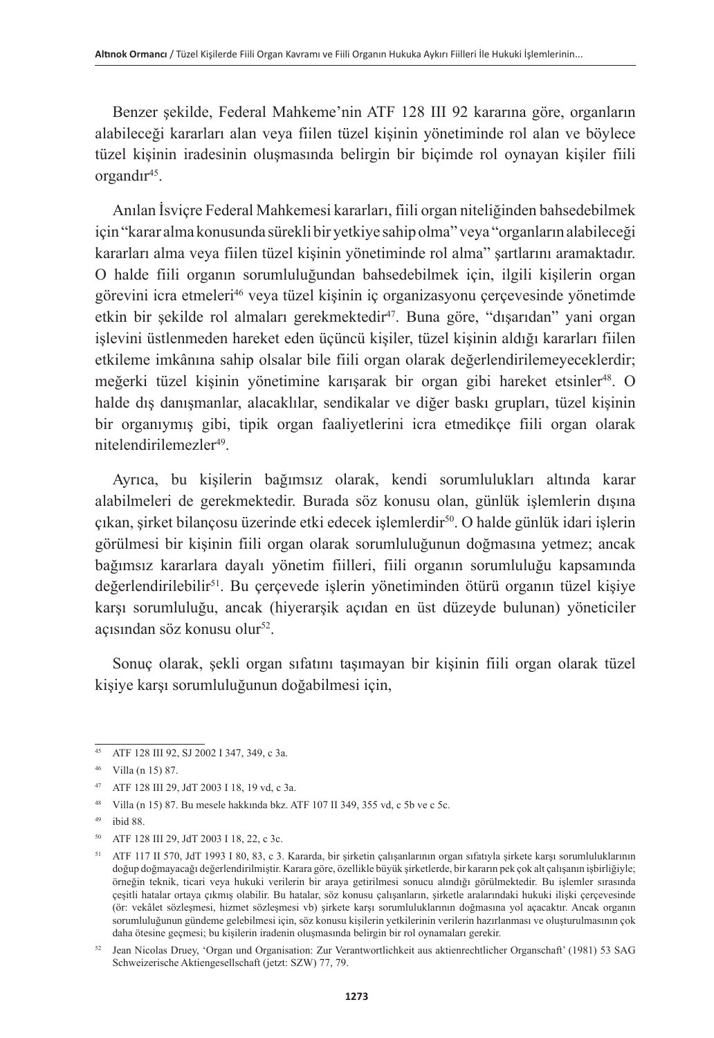Benzer şekilde, Federal Mahkeme'nin ATF 128 III 92 kararına göre, organların alabileceği kararları alan veya fiilen tüzel kişinin yönetiminde rol alan ve böylece tüzel kişinin iradesinin oluşmasında belirgin bir biçimde rol oynayan kişiler fiili organdır<sup>45</sup>.

Anılan İsviçre Federal Mahkemesi kararları, fiili organ niteliğinden bahsedebilmek için "karar alma konusunda sürekli bir yetkiye sahip olma" veya "organların alabileceği kararları alma veya fiilen tüzel kişinin yönetiminde rol alma" şartlarını aramaktadır. O halde fiili organın sorumluluğundan bahsedebilmek için, ilgili kişilerin organ görevini icra etmeleri46 veya tüzel kişinin iç organizasyonu çerçevesinde yönetimde etkin bir şekilde rol almaları gerekmektedir<sup>47</sup>. Buna göre, "dışarıdan" yani organ işlevini üstlenmeden hareket eden üçüncü kişiler, tüzel kişinin aldığı kararları fiilen etkileme imkânına sahip olsalar bile fiili organ olarak değerlendirilemeyeceklerdir; meğerki tüzel kişinin yönetimine karışarak bir organ gibi hareket etsinler<sup>48</sup>. O halde dış danışmanlar, alacaklılar, sendikalar ve diğer baskı grupları, tüzel kişinin bir organıymış gibi, tipik organ faaliyetlerini icra etmedikçe fiili organ olarak nitelendirilemezler<sup>49</sup>.

Ayrıca, bu kişilerin bağımsız olarak, kendi sorumlulukları altında karar alabilmeleri de gerekmektedir. Burada söz konusu olan, günlük işlemlerin dışına çıkan, şirket bilançosu üzerinde etki edecek işlemlerdir50. O halde günlük idari işlerin görülmesi bir kişinin fiili organ olarak sorumluluğunun doğmasına yetmez; ancak bağımsız kararlara dayalı yönetim fiilleri, fiili organın sorumluluğu kapsamında değerlendirilebilir<sup>51</sup>. Bu çerçevede işlerin yönetiminden ötürü organın tüzel kişiye karşı sorumluluğu, ancak (hiyerarşik açıdan en üst düzeyde bulunan) yöneticiler açısından söz konusu olur<sup>52</sup>.

Sonuç olarak, şekli organ sıfatını taşımayan bir kişinin fiili organ olarak tüzel kişiye karşı sorumluluğunun doğabilmesi için,

 $45$  ATF 128 III 92, SJ 2002 I 347, 349, c 3a.

<sup>46</sup> Villa (n 15) 87.

<sup>47</sup> ATF 128 III 29, JdT 2003 I 18, 19 vd, c 3a.

<sup>48</sup> Villa (n 15) 87. Bu mesele hakkında bkz. ATF 107 II 349, 355 vd, c 5b ve c 5c.

<sup>49</sup> ibid 88.

<sup>50</sup> ATF 128 III 29, JdT 2003 I 18, 22, c 3c.

<sup>51</sup> ATF 117 II 570, JdT 1993 I 80, 83, c 3. Kararda, bir şirketin çalışanlarının organ sıfatıyla şirkete karşı sorumluluklarının doğup doğmayacağı değerlendirilmiştir. Karara göre, özellikle büyük şirketlerde, bir kararın pek çok alt çalışanın işbirliğiyle; örneğin teknik, ticari veya hukuki verilerin bir araya getirilmesi sonucu alındığı görülmektedir. Bu işlemler sırasında çeşitli hatalar ortaya çıkmış olabilir. Bu hatalar, söz konusu çalışanların, şirketle aralarındaki hukuki ilişki çerçevesinde (ör: vekâlet sözleşmesi, hizmet sözleşmesi vb) şirkete karşı sorumluluklarının doğmasına yol açacaktır. Ancak organın sorumluluğunun gündeme gelebilmesi için, söz konusu kişilerin yetkilerinin verilerin hazırlanması ve oluşturulmasının çok daha ötesine geçmesi; bu kişilerin iradenin oluşmasında belirgin bir rol oynamaları gerekir.

<sup>52</sup> Jean Nicolas Druey, 'Organ und Organisation: Zur Verantwortlichkeit aus aktienrechtlicher Organschaft' (1981) 53 SAG Schweizerische Aktiengesellschaft (jetzt: SZW) 77, 79.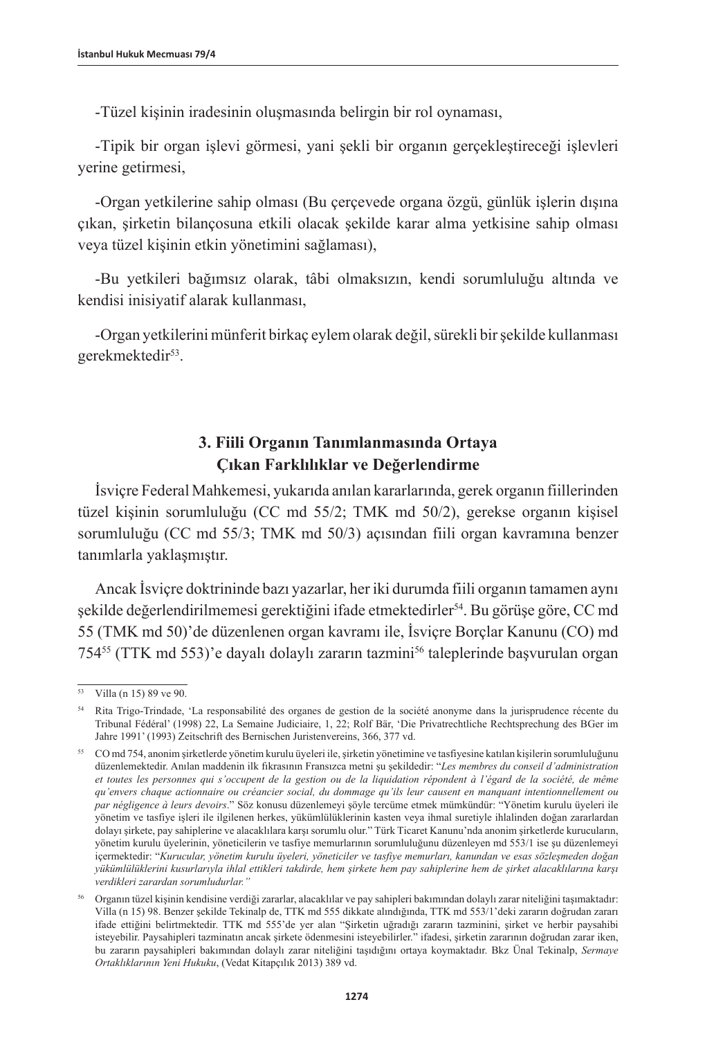-Tüzel kişinin iradesinin oluşmasında belirgin bir rol oynaması,

-Tipik bir organ işlevi görmesi, yani şekli bir organın gerçekleştireceği işlevleri yerine getirmesi,

-Organ yetkilerine sahip olması (Bu çerçevede organa özgü, günlük işlerin dışına çıkan, şirketin bilançosuna etkili olacak şekilde karar alma yetkisine sahip olması veya tüzel kişinin etkin yönetimini sağlaması),

-Bu yetkileri bağımsız olarak, tâbi olmaksızın, kendi sorumluluğu altında ve kendisi inisiyatif alarak kullanması,

-Organ yetkilerini münferit birkaç eylem olarak değil, sürekli bir şekilde kullanması gerekmektedir<sup>53</sup>.

# **3. Fiili Organın Tanımlanmasında Ortaya Çıkan Farklılıklar ve Değerlendirme**

İsviçre Federal Mahkemesi, yukarıda anılan kararlarında, gerek organın fiillerinden tüzel kişinin sorumluluğu (CC md 55/2; TMK md 50/2), gerekse organın kişisel sorumluluğu (CC md 55/3; TMK md 50/3) açısından fiili organ kavramına benzer tanımlarla yaklaşmıştır.

Ancak İsviçre doktrininde bazı yazarlar, her iki durumda fiili organın tamamen aynı şekilde değerlendirilmemesi gerektiğini ifade etmektedirler54. Bu görüşe göre, CC md 55 (TMK md 50)'de düzenlenen organ kavramı ile, İsviçre Borçlar Kanunu (CO) md 754<sup>55</sup> (TTK md 553)'e dayalı dolaylı zararın tazmini<sup>56</sup> taleplerinde başvurulan organ

<sup>&</sup>lt;sup>53</sup> Villa (n 15) 89 ve 90.

<sup>54</sup> Rita Trigo-Trindade, 'La responsabilité des organes de gestion de la société anonyme dans la jurisprudence récente du Tribunal Fédéral' (1998) 22, La Semaine Judiciaire, 1, 22; Rolf Bär, 'Die Privatrechtliche Rechtsprechung des BGer im Jahre 1991' (1993) Zeitschrift des Bernischen Juristenvereins, 366, 377 vd.

<sup>55</sup> CO md 754, anonim şirketlerde yönetim kurulu üyeleri ile, şirketin yönetimine ve tasfiyesine katılan kişilerin sorumluluğunu düzenlemektedir. Anılan maddenin ilk fıkrasının Fransızca metni şu şekildedir: "*Les membres du conseil d'administration et toutes les personnes qui s'occupent de la gestion ou de la liquidation répondent à l'égard de la société, de même qu'envers chaque actionnaire ou créancier social, du dommage qu'ils leur causent en manquant intentionnellement ou par négligence à leurs devoirs*." Söz konusu düzenlemeyi şöyle tercüme etmek mümkündür: "Yönetim kurulu üyeleri ile yönetim ve tasfiye işleri ile ilgilenen herkes, yükümlülüklerinin kasten veya ihmal suretiyle ihlalinden doğan zararlardan dolayı şirkete, pay sahiplerine ve alacaklılara karşı sorumlu olur." Türk Ticaret Kanunu'nda anonim şirketlerde kurucuların, yönetim kurulu üyelerinin, yöneticilerin ve tasfiye memurlarının sorumluluğunu düzenleyen md 553/1 ise şu düzenlemeyi içermektedir: "*Kurucular, yönetim kurulu üyeleri, yöneticiler ve tasfiye memurları, kanundan ve esas sözleşmeden doğan yükümlülüklerini kusurlarıyla ihlal ettikleri takdirde, hem şirkete hem pay sahiplerine hem de şirket alacaklılarına karşı verdikleri zarardan sorumludurlar."*

<sup>56</sup> Organın tüzel kişinin kendisine verdiği zararlar, alacaklılar ve pay sahipleri bakımından dolaylı zarar niteliğini taşımaktadır: Villa (n 15) 98. Benzer şekilde Tekinalp de, TTK md 555 dikkate alındığında, TTK md 553/1'deki zararın doğrudan zararı ifade ettiğini belirtmektedir. TTK md 555'de yer alan "Şirketin uğradığı zararın tazminini, şirket ve herbir paysahibi isteyebilir. Paysahipleri tazminatın ancak şirkete ödenmesini isteyebilirler." ifadesi, şirketin zararının doğrudan zarar iken, bu zararın paysahipleri bakımından dolaylı zarar niteliğini taşıdığını ortaya koymaktadır. Bkz Ünal Tekinalp, *Sermaye Ortaklıklarının Yeni Hukuku*, (Vedat Kitapçılık 2013) 389 vd.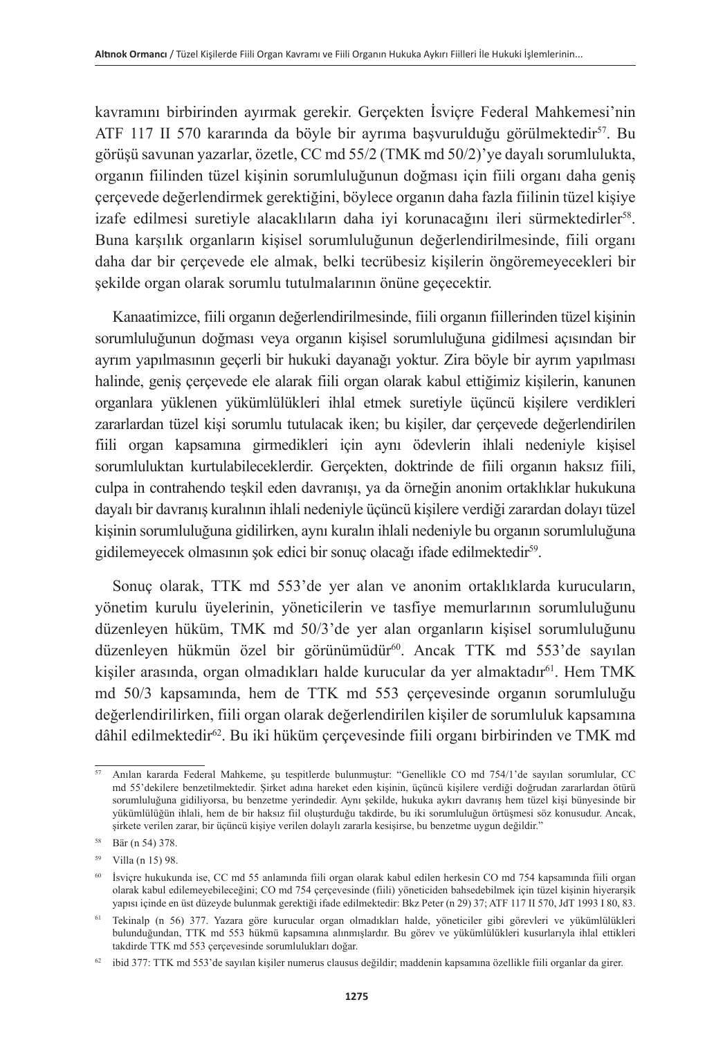kavramını birbirinden ayırmak gerekir. Gerçekten İsviçre Federal Mahkemesi'nin ATF 117 II 570 kararında da böyle bir ayrıma başvurulduğu görülmektedir57. Bu görüşü savunan yazarlar, özetle, CC md 55/2 (TMK md 50/2)'ye dayalı sorumlulukta, organın fiilinden tüzel kişinin sorumluluğunun doğması için fiili organı daha geniş çerçevede değerlendirmek gerektiğini, böylece organın daha fazla fiilinin tüzel kişiye izafe edilmesi suretiyle alacaklıların daha iyi korunacağını ileri sürmektedirler<sup>58</sup>. Buna karşılık organların kişisel sorumluluğunun değerlendirilmesinde, fiili organı daha dar bir çerçevede ele almak, belki tecrübesiz kişilerin öngöremeyecekleri bir şekilde organ olarak sorumlu tutulmalarının önüne geçecektir.

Kanaatimizce, fiili organın değerlendirilmesinde, fiili organın fiillerinden tüzel kişinin sorumluluğunun doğması veya organın kişisel sorumluluğuna gidilmesi açısından bir ayrım yapılmasının geçerli bir hukuki dayanağı yoktur. Zira böyle bir ayrım yapılması halinde, geniş çerçevede ele alarak fiili organ olarak kabul ettiğimiz kişilerin, kanunen organlara yüklenen yükümlülükleri ihlal etmek suretiyle üçüncü kişilere verdikleri zararlardan tüzel kişi sorumlu tutulacak iken; bu kişiler, dar çerçevede değerlendirilen fiili organ kapsamına girmedikleri için aynı ödevlerin ihlali nedeniyle kişisel sorumluluktan kurtulabileceklerdir. Gerçekten, doktrinde de fiili organın haksız fiili, culpa in contrahendo teşkil eden davranışı, ya da örneğin anonim ortaklıklar hukukuna dayalı bir davranış kuralının ihlali nedeniyle üçüncü kişilere verdiği zarardan dolayı tüzel kişinin sorumluluğuna gidilirken, aynı kuralın ihlali nedeniyle bu organın sorumluluğuna gidilemeyecek olmasının şok edici bir sonuç olacağı ifade edilmektedir59.

Sonuç olarak, TTK md 553'de yer alan ve anonim ortaklıklarda kurucuların, yönetim kurulu üyelerinin, yöneticilerin ve tasfiye memurlarının sorumluluğunu düzenleyen hüküm, TMK md 50/3'de yer alan organların kişisel sorumluluğunu düzenleyen hükmün özel bir görünümüdür<sup>60</sup>. Ancak TTK md 553'de sayılan kisiler arasında, organ olmadıkları halde kurucular da yer almaktadır<sup>61</sup>. Hem TMK md 50/3 kapsamında, hem de TTK md 553 çerçevesinde organın sorumluluğu değerlendirilirken, fiili organ olarak değerlendirilen kişiler de sorumluluk kapsamına dâhil edilmektedir62. Bu iki hüküm çerçevesinde fiili organı birbirinden ve TMK md

<sup>57</sup> Anılan kararda Federal Mahkeme, şu tespitlerde bulunmuştur: "Genellikle CO md 754/1'de sayılan sorumlular, CC md 55'dekilere benzetilmektedir. Şirket adına hareket eden kişinin, üçüncü kişilere verdiği doğrudan zararlardan ötürü sorumluluğuna gidiliyorsa, bu benzetme yerindedir. Aynı şekilde, hukuka aykırı davranış hem tüzel kişi bünyesinde bir yükümlülüğün ihlali, hem de bir haksız fiil oluşturduğu takdirde, bu iki sorumluluğun örtüşmesi söz konusudur. Ancak, şirkete verilen zarar, bir üçüncü kişiye verilen dolaylı zararla kesişirse, bu benzetme uygun değildir."

<sup>58</sup> Bär (n 54) 378.

<sup>59</sup> Villa (n 15) 98.

<sup>60</sup> İsviçre hukukunda ise, CC md 55 anlamında fiili organ olarak kabul edilen herkesin CO md 754 kapsamında fiili organ olarak kabul edilemeyebileceğini; CO md 754 çerçevesinde (fiili) yöneticiden bahsedebilmek için tüzel kişinin hiyerarşik yapısı içinde en üst düzeyde bulunmak gerektiği ifade edilmektedir: Bkz Peter (n 29) 37; ATF 117 II 570, JdT 1993 I 80, 83.

<sup>61</sup> Tekinalp (n 56) 377. Yazara göre kurucular organ olmadıkları halde, yöneticiler gibi görevleri ve yükümlülükleri bulunduğundan, TTK md 553 hükmü kapsamına alınmışlardır. Bu görev ve yükümlülükleri kusurlarıyla ihlal ettikleri takdirde TTK md 553 çerçevesinde sorumlulukları doğar.

 $62$  ibid 377: TTK md 553'de sayılan kişiler numerus clausus değildir; maddenin kapsamına özellikle fiili organlar da girer.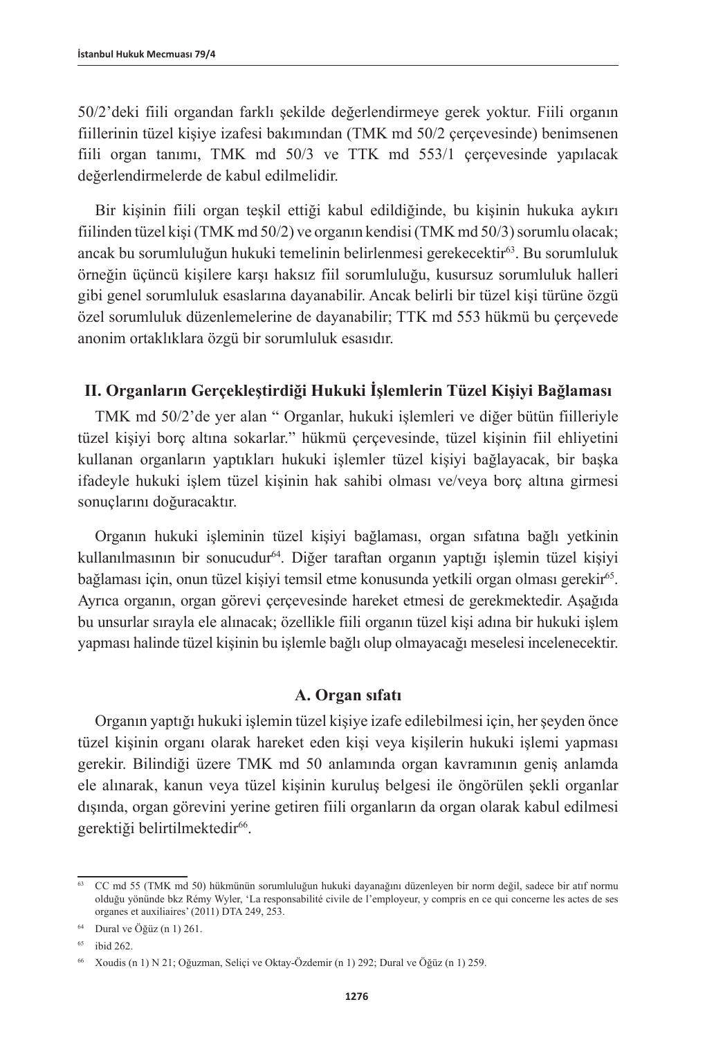50/2'deki fiili organdan farklı şekilde değerlendirmeye gerek yoktur. Fiili organın fiillerinin tüzel kişiye izafesi bakımından (TMK md 50/2 çerçevesinde) benimsenen fiili organ tanımı, TMK md 50/3 ve TTK md 553/1 çerçevesinde yapılacak değerlendirmelerde de kabul edilmelidir.

Bir kişinin fiili organ teşkil ettiği kabul edildiğinde, bu kişinin hukuka aykırı fiilinden tüzel kişi (TMK md 50/2) ve organın kendisi (TMK md 50/3) sorumlu olacak; ancak bu sorumluluğun hukuki temelinin belirlenmesi gerekecektir<sup>63</sup>. Bu sorumluluk örneğin üçüncü kişilere karşı haksız fiil sorumluluğu, kusursuz sorumluluk halleri gibi genel sorumluluk esaslarına dayanabilir. Ancak belirli bir tüzel kişi türüne özgü özel sorumluluk düzenlemelerine de dayanabilir; TTK md 553 hükmü bu çerçevede anonim ortaklıklara özgü bir sorumluluk esasıdır.

### **II. Organların Gerçekleştirdiği Hukuki İşlemlerin Tüzel Kişiyi Bağlaması**

TMK md 50/2'de yer alan " Organlar, hukuki işlemleri ve diğer bütün fiilleriyle tüzel kişiyi borç altına sokarlar." hükmü çerçevesinde, tüzel kişinin fiil ehliyetini kullanan organların yaptıkları hukuki işlemler tüzel kişiyi bağlayacak, bir başka ifadeyle hukuki işlem tüzel kişinin hak sahibi olması ve/veya borç altına girmesi sonuçlarını doğuracaktır.

Organın hukuki işleminin tüzel kişiyi bağlaması, organ sıfatına bağlı yetkinin kullanılmasının bir sonucudur64. Diğer taraftan organın yaptığı işlemin tüzel kişiyi bağlaması için, onun tüzel kişiyi temsil etme konusunda yetkili organ olması gerekir<sup>65</sup>. Ayrıca organın, organ görevi çerçevesinde hareket etmesi de gerekmektedir. Aşağıda bu unsurlar sırayla ele alınacak; özellikle fiili organın tüzel kişi adına bir hukuki işlem yapması halinde tüzel kişinin bu işlemle bağlı olup olmayacağı meselesi incelenecektir.

### **A. Organ sıfatı**

Organın yaptığı hukuki işlemin tüzel kişiye izafe edilebilmesi için, her şeyden önce tüzel kişinin organı olarak hareket eden kişi veya kişilerin hukuki işlemi yapması gerekir. Bilindiği üzere TMK md 50 anlamında organ kavramının geniş anlamda ele alınarak, kanun veya tüzel kişinin kuruluş belgesi ile öngörülen şekli organlar dışında, organ görevini yerine getiren fiili organların da organ olarak kabul edilmesi gerektiği belirtilmektedir<sup>66</sup>.

<sup>63</sup> CC md 55 (TMK md 50) hükmünün sorumluluğun hukuki dayanağını düzenleyen bir norm değil, sadece bir atıf normu olduğu yönünde bkz Rémy Wyler, 'La responsabilité civile de l'employeur, y compris en ce qui concerne les actes de ses organes et auxiliaires' (2011) DTA 249, 253.

<sup>64</sup> Dural ve Öğüz (n 1) 261.

<sup>65</sup> ibid 262.

<sup>66</sup> Xoudis (n 1) N 21; Oğuzman, Seliçi ve Oktay-Özdemir (n 1) 292; Dural ve Öğüz (n 1) 259.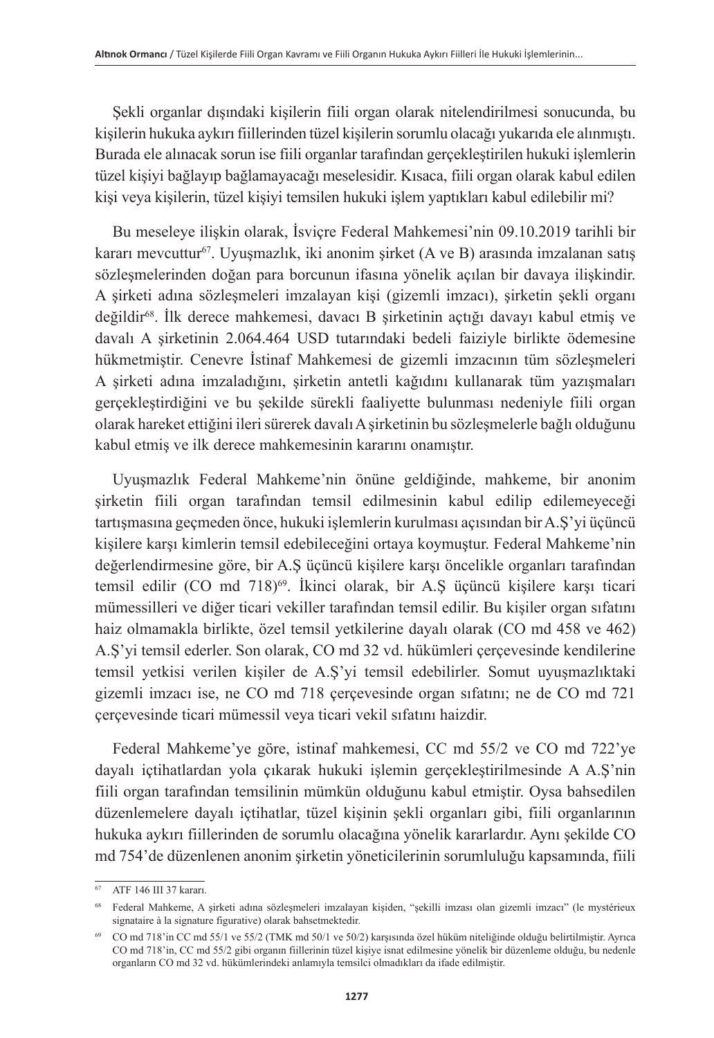Şekli organlar dışındaki kişilerin fiili organ olarak nitelendirilmesi sonucunda, bu kişilerin hukuka aykırı fiillerinden tüzel kişilerin sorumlu olacağı yukarıda ele alınmıştı. Burada ele alınacak sorun ise fiili organlar tarafından gerçekleştirilen hukuki işlemlerin tüzel kişiyi bağlayıp bağlamayacağı meselesidir. Kısaca, fiili organ olarak kabul edilen kişi veya kişilerin, tüzel kişiyi temsilen hukuki işlem yaptıkları kabul edilebilir mi?

Bu meseleye ilişkin olarak, İsviçre Federal Mahkemesi'nin 09.10.2019 tarihli bir kararı mevcuttur<sup>67</sup>. Uyuşmazlık, iki anonim şirket (A ve B) arasında imzalanan satış sözleşmelerinden doğan para borcunun ifasına yönelik açılan bir davaya ilişkindir. A şirketi adına sözleşmeleri imzalayan kişi (gizemli imzacı), şirketin şekli organı değildir<sup>68</sup>. İlk derece mahkemesi, davacı B şirketinin açtığı davayı kabul etmiş ve davalı A şirketinin 2.064.464 USD tutarındaki bedeli faiziyle birlikte ödemesine hükmetmiştir. Cenevre İstinaf Mahkemesi de gizemli imzacının tüm sözleşmeleri A şirketi adına imzaladığını, şirketin antetli kağıdını kullanarak tüm yazışmaları gerçekleştirdiğini ve bu şekilde sürekli faaliyette bulunması nedeniyle fiili organ olarak hareket ettiğini ileri sürerek davalı A şirketinin bu sözleşmelerle bağlı olduğunu kabul etmiş ve ilk derece mahkemesinin kararını onamıştır.

Uyuşmazlık Federal Mahkeme'nin önüne geldiğinde, mahkeme, bir anonim şirketin fiili organ tarafından temsil edilmesinin kabul edilip edilemeyeceği tartışmasına geçmeden önce, hukuki işlemlerin kurulması açısından bir A.Ş'yi üçüncü kişilere karşı kimlerin temsil edebileceğini ortaya koymuştur. Federal Mahkeme'nin değerlendirmesine göre, bir A.Ş üçüncü kişilere karşı öncelikle organları tarafından temsil edilir (CO md 718)<sup>69</sup>. İkinci olarak, bir A.Ş üçüncü kişilere karşı ticari mümessilleri ve diğer ticari vekiller tarafından temsil edilir. Bu kişiler organ sıfatını haiz olmamakla birlikte, özel temsil yetkilerine dayalı olarak (CO md 458 ve 462) A.Ş'yi temsil ederler. Son olarak, CO md 32 vd. hükümleri çerçevesinde kendilerine temsil yetkisi verilen kişiler de A.Ş'yi temsil edebilirler. Somut uyuşmazlıktaki gizemli imzacı ise, ne CO md 718 çerçevesinde organ sıfatını; ne de CO md 721 çerçevesinde ticari mümessil veya ticari vekil sıfatını haizdir.

Federal Mahkeme'ye göre, istinaf mahkemesi, CC md 55/2 ve CO md 722'ye dayalı içtihatlardan yola çıkarak hukuki işlemin gerçekleştirilmesinde A A.Ş'nin fiili organ tarafından temsilinin mümkün olduğunu kabul etmiştir. Oysa bahsedilen düzenlemelere dayalı içtihatlar, tüzel kişinin şekli organları gibi, fiili organlarının hukuka aykırı fiillerinden de sorumlu olacağına yönelik kararlardır. Aynı şekilde CO md 754'de düzenlenen anonim şirketin yöneticilerinin sorumluluğu kapsamında, fiili

<sup>67</sup> ATF 146 III 37 kararı.

<sup>68</sup> Federal Mahkeme, A şirketi adına sözleşmeleri imzalayan kişiden, "şekilli imzası olan gizemli imzacı" (le mystérieux signataire à la signature figurative) olarak bahsetmektedir.

<sup>69</sup> CO md 718'in CC md 55/1 ve 55/2 (TMK md 50/1 ve 50/2) karşısında özel hüküm niteliğinde olduğu belirtilmiştir. Ayrıca CO md 718'in, CC md 55/2 gibi organın fiillerinin tüzel kişiye isnat edilmesine yönelik bir düzenleme olduğu, bu nedenle organların CO md 32 vd. hükümlerindeki anlamıyla temsilci olmadıkları da ifade edilmiştir.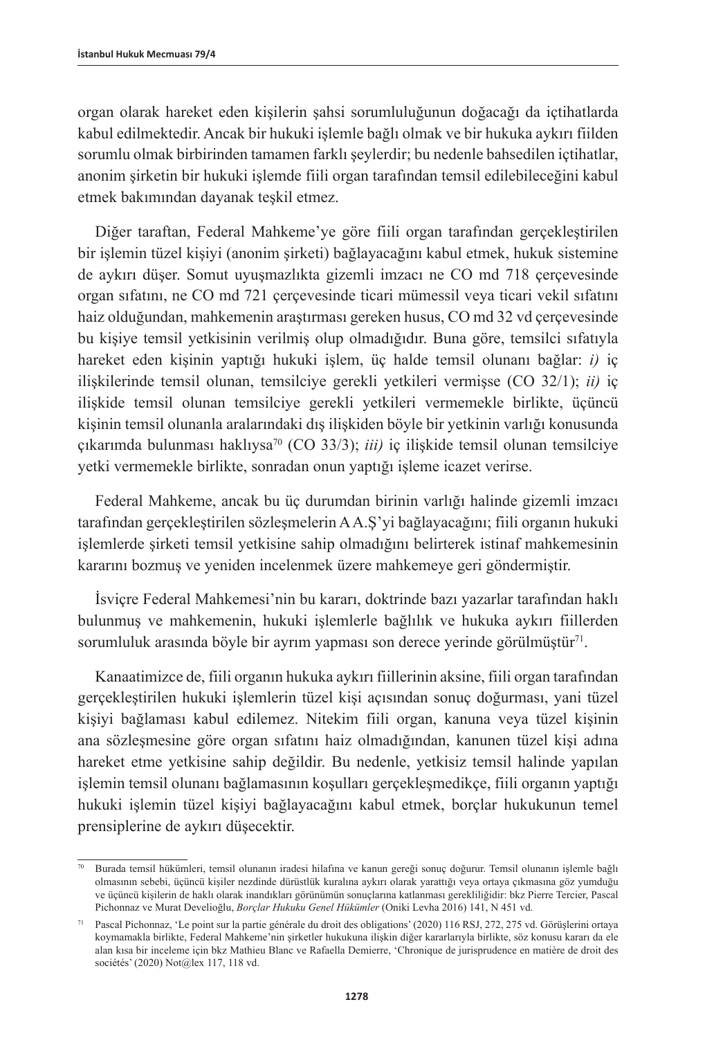organ olarak hareket eden kişilerin şahsi sorumluluğunun doğacağı da içtihatlarda kabul edilmektedir. Ancak bir hukuki işlemle bağlı olmak ve bir hukuka aykırı fiilden sorumlu olmak birbirinden tamamen farklı şeylerdir; bu nedenle bahsedilen içtihatlar, anonim şirketin bir hukuki işlemde fiili organ tarafından temsil edilebileceğini kabul etmek bakımından dayanak teşkil etmez.

Diğer taraftan, Federal Mahkeme'ye göre fiili organ tarafından gerçekleştirilen bir işlemin tüzel kişiyi (anonim şirketi) bağlayacağını kabul etmek, hukuk sistemine de aykırı düşer. Somut uyuşmazlıkta gizemli imzacı ne CO md 718 çerçevesinde organ sıfatını, ne CO md 721 çerçevesinde ticari mümessil veya ticari vekil sıfatını haiz olduğundan, mahkemenin araştırması gereken husus, CO md 32 vd çerçevesinde bu kişiye temsil yetkisinin verilmiş olup olmadığıdır. Buna göre, temsilci sıfatıyla hareket eden kişinin yaptığı hukuki işlem, üç halde temsil olunanı bağlar: *i)* iç ilişkilerinde temsil olunan, temsilciye gerekli yetkileri vermişse (CO 32/1); *ii)* iç ilişkide temsil olunan temsilciye gerekli yetkileri vermemekle birlikte, üçüncü kişinin temsil olunanla aralarındaki dış ilişkiden böyle bir yetkinin varlığı konusunda çıkarımda bulunması haklıysa70 (CO 33/3); *iii)* iç ilişkide temsil olunan temsilciye yetki vermemekle birlikte, sonradan onun yaptığı işleme icazet verirse.

Federal Mahkeme, ancak bu üç durumdan birinin varlığı halinde gizemli imzacı tarafından gerçekleştirilen sözleşmelerin A A.Ş'yi bağlayacağını; fiili organın hukuki işlemlerde şirketi temsil yetkisine sahip olmadığını belirterek istinaf mahkemesinin kararını bozmuş ve yeniden incelenmek üzere mahkemeye geri göndermiştir.

İsviçre Federal Mahkemesi'nin bu kararı, doktrinde bazı yazarlar tarafından haklı bulunmuş ve mahkemenin, hukuki işlemlerle bağlılık ve hukuka aykırı fiillerden sorumluluk arasında böyle bir ayrım yapması son derece yerinde görülmüştür<sup>71</sup>.

Kanaatimizce de, fiili organın hukuka aykırı fiillerinin aksine, fiili organ tarafından gerçekleştirilen hukuki işlemlerin tüzel kişi açısından sonuç doğurması, yani tüzel kişiyi bağlaması kabul edilemez. Nitekim fiili organ, kanuna veya tüzel kişinin ana sözleşmesine göre organ sıfatını haiz olmadığından, kanunen tüzel kişi adına hareket etme yetkisine sahip değildir. Bu nedenle, yetkisiz temsil halinde yapılan işlemin temsil olunanı bağlamasının koşulları gerçekleşmedikçe, fiili organın yaptığı hukuki işlemin tüzel kişiyi bağlayacağını kabul etmek, borçlar hukukunun temel prensiplerine de aykırı düşecektir.

<sup>70</sup> Burada temsil hükümleri, temsil olunanın iradesi hilafına ve kanun gereği sonuç doğurur. Temsil olunanın işlemle bağlı olmasının sebebi, üçüncü kişiler nezdinde dürüstlük kuralına aykırı olarak yarattığı veya ortaya çıkmasına göz yumduğu ve üçüncü kişilerin de haklı olarak inandıkları görünümün sonuçlarına katlanması gerekliliğidir: bkz Pierre Tercier, Pascal Pichonnaz ve Murat Develioğlu, *Borçlar Hukuku Genel Hükümler* (Oniki Levha 2016) 141, N 451 vd.

<sup>71</sup> Pascal Pichonnaz, 'Le point sur la partie générale du droit des obligations' (2020) 116 RSJ, 272, 275 vd. Görüşlerini ortaya koymamakla birlikte, Federal Mahkeme'nin şirketler hukukuna ilişkin diğer kararlarıyla birlikte, söz konusu kararı da ele alan kısa bir inceleme için bkz Mathieu Blanc ve Rafaella Demierre, 'Chronique de jurisprudence en matière de droit des sociétés' (2020) Not@lex 117, 118 vd.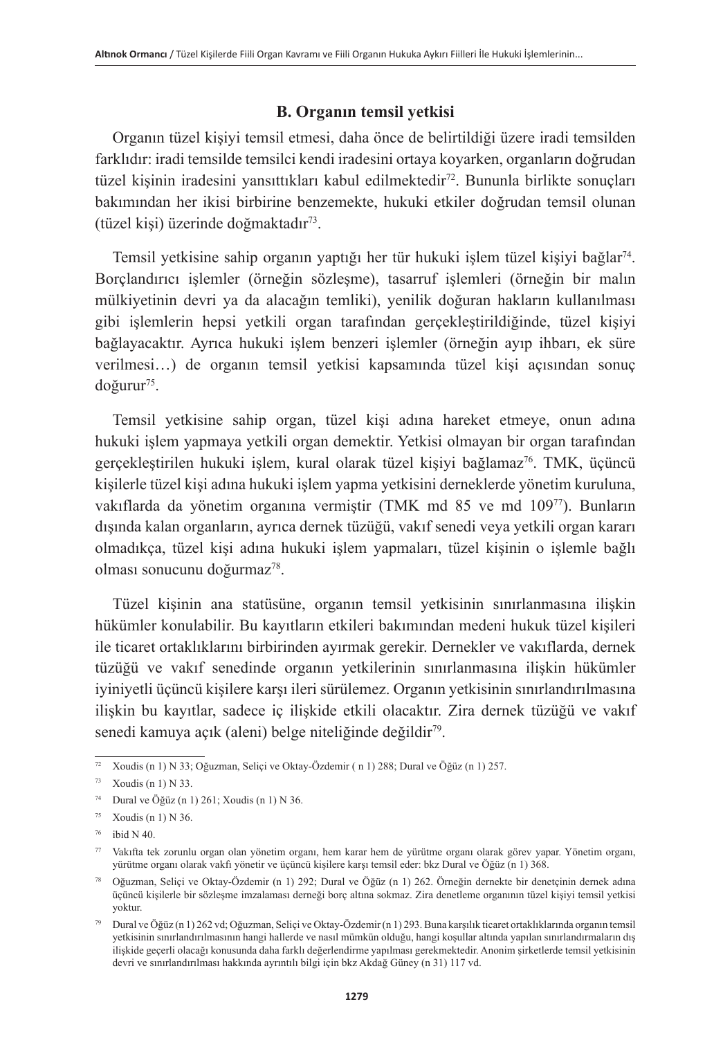### **B. Organın temsil yetkisi**

Organın tüzel kişiyi temsil etmesi, daha önce de belirtildiği üzere iradi temsilden farklıdır: iradi temsilde temsilci kendi iradesini ortaya koyarken, organların doğrudan tüzel kişinin iradesini yansıttıkları kabul edilmektedir<sup>72</sup>. Bununla birlikte sonuçları bakımından her ikisi birbirine benzemekte, hukuki etkiler doğrudan temsil olunan (tüzel kişi) üzerinde doğmaktadır73.

Temsil yetkisine sahip organın yaptığı her tür hukuki işlem tüzel kişiyi bağlar<sup>74</sup>. Borçlandırıcı işlemler (örneğin sözleşme), tasarruf işlemleri (örneğin bir malın mülkiyetinin devri ya da alacağın temliki), yenilik doğuran hakların kullanılması gibi işlemlerin hepsi yetkili organ tarafından gerçekleştirildiğinde, tüzel kişiyi bağlayacaktır. Ayrıca hukuki işlem benzeri işlemler (örneğin ayıp ihbarı, ek süre verilmesi…) de organın temsil yetkisi kapsamında tüzel kişi açısından sonuç doğurur<sup>75</sup>.

Temsil yetkisine sahip organ, tüzel kişi adına hareket etmeye, onun adına hukuki işlem yapmaya yetkili organ demektir. Yetkisi olmayan bir organ tarafından gerçekleştirilen hukuki işlem, kural olarak tüzel kişiyi bağlamaz<sup>76</sup>. TMK, üçüncü kişilerle tüzel kişi adına hukuki işlem yapma yetkisini derneklerde yönetim kuruluna, vakıflarda da yönetim organına vermiştir (TMK md 85 ve md 10977). Bunların dışında kalan organların, ayrıca dernek tüzüğü, vakıf senedi veya yetkili organ kararı olmadıkça, tüzel kişi adına hukuki işlem yapmaları, tüzel kişinin o işlemle bağlı olması sonucunu doğurmaz<sup>78</sup>.

Tüzel kişinin ana statüsüne, organın temsil yetkisinin sınırlanmasına ilişkin hükümler konulabilir. Bu kayıtların etkileri bakımından medeni hukuk tüzel kişileri ile ticaret ortaklıklarını birbirinden ayırmak gerekir. Dernekler ve vakıflarda, dernek tüzüğü ve vakıf senedinde organın yetkilerinin sınırlanmasına ilişkin hükümler iyiniyetli üçüncü kişilere karşı ileri sürülemez. Organın yetkisinin sınırlandırılmasına ilişkin bu kayıtlar, sadece iç ilişkide etkili olacaktır. Zira dernek tüzüğü ve vakıf senedi kamuya açık (aleni) belge niteliğinde değildir<sup>79</sup>.

<sup>72</sup> Xoudis (n 1) N 33; Oğuzman, Seliçi ve Oktay-Özdemir ( n 1) 288; Dural ve Öğüz (n 1) 257.

 $73$  Xoudis (n 1) N 33.

<sup>&</sup>lt;sup>74</sup> Dural ve Öğüz (n 1) 261; Xoudis (n 1) N 36.

 $75$  Xoudis (n 1) N 36.

 $76$  ibid N 40.

<sup>77</sup> Vakıfta tek zorunlu organ olan yönetim organı, hem karar hem de yürütme organı olarak görev yapar. Yönetim organı, yürütme organı olarak vakfı yönetir ve üçüncü kişilere karşı temsil eder: bkz Dural ve Öğüz (n 1) 368.

<sup>78</sup> Oğuzman, Seliçi ve Oktay-Özdemir (n 1) 292; Dural ve Öğüz (n 1) 262. Örneğin dernekte bir denetçinin dernek adına üçüncü kişilerle bir sözleşme imzalaması derneği borç altına sokmaz. Zira denetleme organının tüzel kişiyi temsil yetkisi yoktur.

<sup>79</sup> Dural ve Öğüz (n 1) 262 vd; Oğuzman, Seliçi ve Oktay-Özdemir (n 1) 293. Buna karşılık ticaret ortaklıklarında organın temsil yetkisinin sınırlandırılmasının hangi hallerde ve nasıl mümkün olduğu, hangi koşullar altında yapılan sınırlandırmaların dış ilişkide geçerli olacağı konusunda daha farklı değerlendirme yapılması gerekmektedir. Anonim şirketlerde temsil yetkisinin devri ve sınırlandırılması hakkında ayrıntılı bilgi için bkz Akdağ Güney (n 31) 117 vd.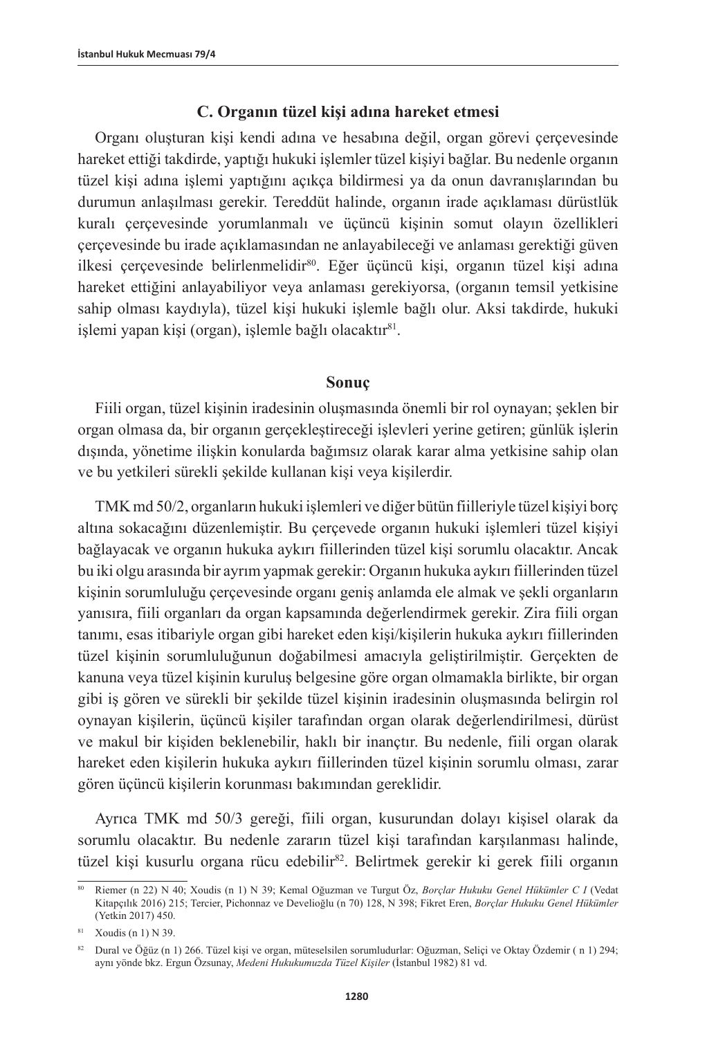### **C. Organın tüzel kişi adına hareket etmesi**

Organı oluşturan kişi kendi adına ve hesabına değil, organ görevi çerçevesinde hareket ettiği takdirde, yaptığı hukuki işlemler tüzel kişiyi bağlar. Bu nedenle organın tüzel kişi adına işlemi yaptığını açıkça bildirmesi ya da onun davranışlarından bu durumun anlaşılması gerekir. Tereddüt halinde, organın irade açıklaması dürüstlük kuralı çerçevesinde yorumlanmalı ve üçüncü kişinin somut olayın özellikleri çerçevesinde bu irade açıklamasından ne anlayabileceği ve anlaması gerektiği güven ilkesi çerçevesinde belirlenmelidir<sup>80</sup>. Eğer üçüncü kişi, organın tüzel kişi adına hareket ettiğini anlayabiliyor veya anlaması gerekiyorsa, (organın temsil yetkisine sahip olması kaydıyla), tüzel kişi hukuki işlemle bağlı olur. Aksi takdirde, hukuki işlemi yapan kişi (organ), işlemle bağlı olacaktır<sup>81</sup>.

### **Sonuç**

Fiili organ, tüzel kişinin iradesinin oluşmasında önemli bir rol oynayan; şeklen bir organ olmasa da, bir organın gerçekleştireceği işlevleri yerine getiren; günlük işlerin dışında, yönetime ilişkin konularda bağımsız olarak karar alma yetkisine sahip olan ve bu yetkileri sürekli şekilde kullanan kişi veya kişilerdir.

TMK md 50/2, organların hukuki işlemleri ve diğer bütün fiilleriyle tüzel kişiyi borç altına sokacağını düzenlemiştir. Bu çerçevede organın hukuki işlemleri tüzel kişiyi bağlayacak ve organın hukuka aykırı fiillerinden tüzel kişi sorumlu olacaktır. Ancak bu iki olgu arasında bir ayrım yapmak gerekir: Organın hukuka aykırı fiillerinden tüzel kişinin sorumluluğu çerçevesinde organı geniş anlamda ele almak ve şekli organların yanısıra, fiili organları da organ kapsamında değerlendirmek gerekir. Zira fiili organ tanımı, esas itibariyle organ gibi hareket eden kişi/kişilerin hukuka aykırı fiillerinden tüzel kişinin sorumluluğunun doğabilmesi amacıyla geliştirilmiştir. Gerçekten de kanuna veya tüzel kişinin kuruluş belgesine göre organ olmamakla birlikte, bir organ gibi iş gören ve sürekli bir şekilde tüzel kişinin iradesinin oluşmasında belirgin rol oynayan kişilerin, üçüncü kişiler tarafından organ olarak değerlendirilmesi, dürüst ve makul bir kişiden beklenebilir, haklı bir inançtır. Bu nedenle, fiili organ olarak hareket eden kişilerin hukuka aykırı fiillerinden tüzel kişinin sorumlu olması, zarar gören üçüncü kişilerin korunması bakımından gereklidir.

Ayrıca TMK md 50/3 gereği, fiili organ, kusurundan dolayı kişisel olarak da sorumlu olacaktır. Bu nedenle zararın tüzel kişi tarafından karşılanması halinde, tüzel kişi kusurlu organa rücu edebilir<sup>82</sup>. Belirtmek gerekir ki gerek fiili organın

<sup>80</sup> Riemer (n 22) N 40; Xoudis (n 1) N 39; Kemal Oğuzman ve Turgut Öz, *Borçlar Hukuku Genel Hükümler C I* (Vedat Kitapçılık 2016) 215; Tercier, Pichonnaz ve Develioğlu (n 70) 128, N 398; Fikret Eren, *Borçlar Hukuku Genel Hükümler* (Yetkin 2017) 450.

<sup>81</sup> Xoudis (n 1) N 39.

<sup>82</sup> Dural ve Öğüz (n 1) 266. Tüzel kişi ve organ, müteselsilen sorumludurlar: Oğuzman, Seliçi ve Oktay Özdemir ( n 1) 294; aynı yönde bkz. Ergun Özsunay, *Medeni Hukukumuzda Tüzel Kişiler* (İstanbul 1982) 81 vd.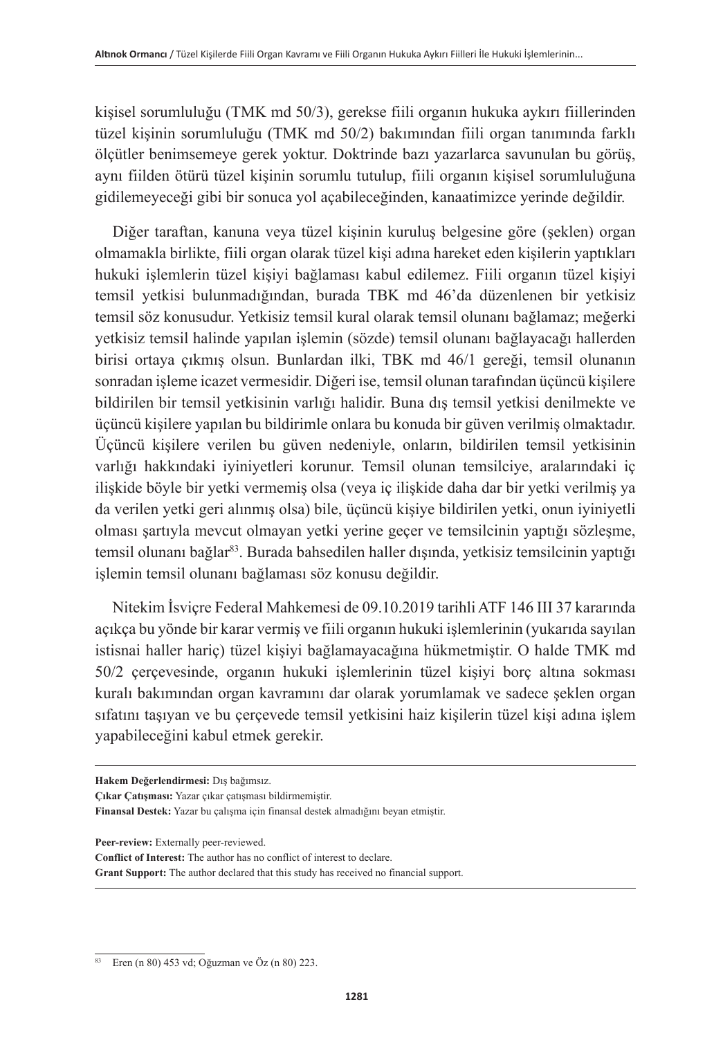kişisel sorumluluğu (TMK md 50/3), gerekse fiili organın hukuka aykırı fiillerinden tüzel kişinin sorumluluğu (TMK md 50/2) bakımından fiili organ tanımında farklı ölçütler benimsemeye gerek yoktur. Doktrinde bazı yazarlarca savunulan bu görüş, aynı fiilden ötürü tüzel kişinin sorumlu tutulup, fiili organın kişisel sorumluluğuna gidilemeyeceği gibi bir sonuca yol açabileceğinden, kanaatimizce yerinde değildir.

Diğer taraftan, kanuna veya tüzel kişinin kuruluş belgesine göre (şeklen) organ olmamakla birlikte, fiili organ olarak tüzel kişi adına hareket eden kişilerin yaptıkları hukuki işlemlerin tüzel kişiyi bağlaması kabul edilemez. Fiili organın tüzel kişiyi temsil yetkisi bulunmadığından, burada TBK md 46'da düzenlenen bir yetkisiz temsil söz konusudur. Yetkisiz temsil kural olarak temsil olunanı bağlamaz; meğerki yetkisiz temsil halinde yapılan işlemin (sözde) temsil olunanı bağlayacağı hallerden birisi ortaya çıkmış olsun. Bunlardan ilki, TBK md 46/1 gereği, temsil olunanın sonradan işleme icazet vermesidir. Diğeri ise, temsil olunan tarafından üçüncü kişilere bildirilen bir temsil yetkisinin varlığı halidir. Buna dış temsil yetkisi denilmekte ve üçüncü kişilere yapılan bu bildirimle onlara bu konuda bir güven verilmiş olmaktadır. Üçüncü kişilere verilen bu güven nedeniyle, onların, bildirilen temsil yetkisinin varlığı hakkındaki iyiniyetleri korunur. Temsil olunan temsilciye, aralarındaki iç ilişkide böyle bir yetki vermemiş olsa (veya iç ilişkide daha dar bir yetki verilmiş ya da verilen yetki geri alınmış olsa) bile, üçüncü kişiye bildirilen yetki, onun iyiniyetli olması şartıyla mevcut olmayan yetki yerine geçer ve temsilcinin yaptığı sözleşme, temsil olunanı bağlar<sup>83</sup>. Burada bahsedilen haller dışında, yetkisiz temsilcinin yaptığı işlemin temsil olunanı bağlaması söz konusu değildir.

Nitekim İsviçre Federal Mahkemesi de 09.10.2019 tarihli ATF 146 III 37 kararında açıkça bu yönde bir karar vermiş ve fiili organın hukuki işlemlerinin (yukarıda sayılan istisnai haller hariç) tüzel kişiyi bağlamayacağına hükmetmiştir. O halde TMK md 50/2 çerçevesinde, organın hukuki işlemlerinin tüzel kişiyi borç altına sokması kuralı bakımından organ kavramını dar olarak yorumlamak ve sadece şeklen organ sıfatını taşıyan ve bu çerçevede temsil yetkisini haiz kişilerin tüzel kişi adına işlem yapabileceğini kabul etmek gerekir.

**Peer-review:** Externally peer-reviewed.

**Hakem Değerlendirmesi:** Dış bağımsız.

**Çıkar Çatışması:** Yazar çıkar çatışması bildirmemiştir.

**Finansal Destek:** Yazar bu çalışma için finansal destek almadığını beyan etmiştir.

**Conflict of Interest:** The author has no conflict of interest to declare.

**Grant Support:** The author declared that this study has received no financial support.

<sup>83</sup> Eren (n 80) 453 vd; Oğuzman ve Öz (n 80) 223.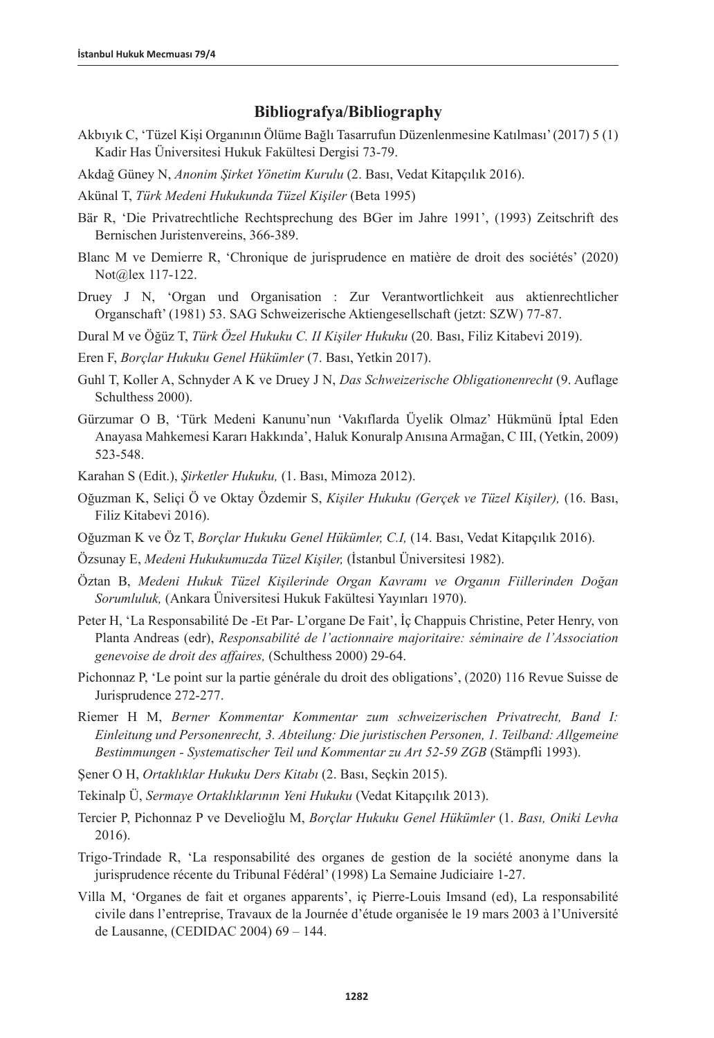### **Bibliografya/Bibliography**

- Akbıyık C, 'Tüzel Kişi Organının Ölüme Bağlı Tasarrufun Düzenlenmesine Katılması' (2017) 5 (1) Kadir Has Üniversitesi Hukuk Fakültesi Dergisi 73-79.
- Akdağ Güney N, *Anonim Şirket Yönetim Kurulu* (2. Bası, Vedat Kitapçılık 2016).
- Akünal T, *Türk Medeni Hukukunda Tüzel Kişiler* (Beta 1995)
- Bär R, 'Die Privatrechtliche Rechtsprechung des BGer im Jahre 1991', (1993) Zeitschrift des Bernischen Juristenvereins, 366-389.
- Blanc M ve Demierre R, 'Chronique de jurisprudence en matière de droit des sociétés' (2020) Not@lex 117-122.
- Druey J N, 'Organ und Organisation : Zur Verantwortlichkeit aus aktienrechtlicher Organschaft' (1981) 53. SAG Schweizerische Aktiengesellschaft (jetzt: SZW) 77-87.
- Dural M ve Öğüz T, *Türk Özel Hukuku C. II Kişiler Hukuku* (20. Bası, Filiz Kitabevi 2019).
- Eren F, *Borçlar Hukuku Genel Hükümler* (7. Bası, Yetkin 2017).
- Guhl T, Koller A, Schnyder A K ve Druey J N, *Das Schweizerische Obligationenrecht* (9. Auflage Schulthess 2000).
- Gürzumar O B, 'Türk Medeni Kanunu'nun 'Vakıflarda Üyelik Olmaz' Hükmünü İptal Eden Anayasa Mahkemesi Kararı Hakkında', Haluk Konuralp Anısına Armağan, C III, (Yetkin, 2009) 523-548.
- Karahan S (Edit.), *Şirketler Hukuku,* (1. Bası, Mimoza 2012).
- Oğuzman K, Seliçi Ö ve Oktay Özdemir S, *Kişiler Hukuku (Gerçek ve Tüzel Kişiler),* (16. Bası, Filiz Kitabevi 2016).
- Oğuzman K ve Öz T, *Borçlar Hukuku Genel Hükümler, C.I,* (14. Bası, Vedat Kitapçılık 2016).
- Özsunay E, *Medeni Hukukumuzda Tüzel Kişiler,* (İstanbul Üniversitesi 1982).
- Öztan B, *Medeni Hukuk Tüzel Kişilerinde Organ Kavramı ve Organın Fiillerinden Doğan Sorumluluk,* (Ankara Üniversitesi Hukuk Fakültesi Yayınları 1970).
- Peter H, 'La Responsabilité De -Et Par- L'organe De Fait', İç Chappuis Christine, Peter Henry, von Planta Andreas (edr), *Responsabilité de l'actionnaire majoritaire: séminaire de l'Association genevoise de droit des affaires,* (Schulthess 2000) 29-64.
- Pichonnaz P, 'Le point sur la partie générale du droit des obligations', (2020) 116 Revue Suisse de Jurisprudence 272-277.
- Riemer H M, *Berner Kommentar Kommentar zum schweizerischen Privatrecht, Band I: Einleitung und Personenrecht, 3. Abteilung: Die juristischen Personen, 1. Teilband: Allgemeine Bestimmungen - Systematischer Teil und Kommentar zu Art 52-59 ZGB* (Stämpfli 1993).
- Şener O H, *Ortaklıklar Hukuku Ders Kitabı* (2. Bası, Seçkin 2015).
- Tekinalp Ü, *Sermaye Ortaklıklarının Yeni Hukuku* (Vedat Kitapçılık 2013).
- Tercier P, Pichonnaz P ve Develioğlu M, *Borçlar Hukuku Genel Hükümler* (1. *Bası, Oniki Levha*  2016).
- Trigo-Trindade R, 'La responsabilité des organes de gestion de la société anonyme dans la jurisprudence récente du Tribunal Fédéral' (1998) La Semaine Judiciaire 1-27.
- Villa M, 'Organes de fait et organes apparents', iç Pierre-Louis Imsand (ed), La responsabilité civile dans l'entreprise, Travaux de la Journée d'étude organisée le 19 mars 2003 à l'Université de Lausanne, (CEDIDAC 2004) 69 – 144.